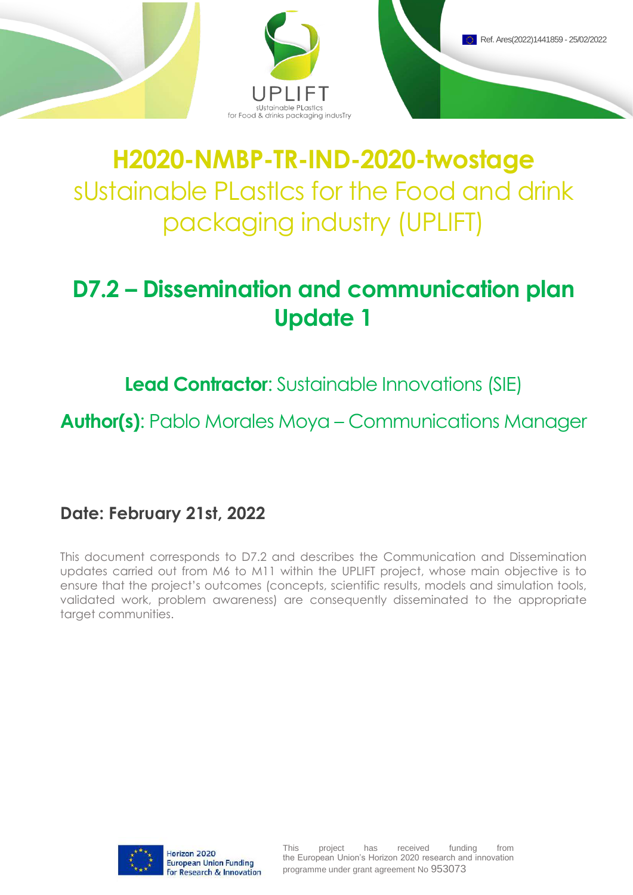

# **H2020-NMBP-TR-IND-2020-twostage** sUstainable PLastIcs for the Food and drink packaging industry (UPLIFT)

### **D7.2 – Dissemination and communication plan Update 1**

**Lead Contractor:** Sustainable Innovations (SIE)

**Author(s)**: Pablo Morales Moya – Communications Manager

**Date: February 21st, 2022**

This document corresponds to D7.2 and describes the Communication and Dissemination updates carried out from M6 to M11 within the UPLIFT project, whose main objective is to ensure that the project's outcomes (concepts, scientific results, models and simulation tools, validated work, problem awareness) are consequently disseminated to the appropriate target communities.

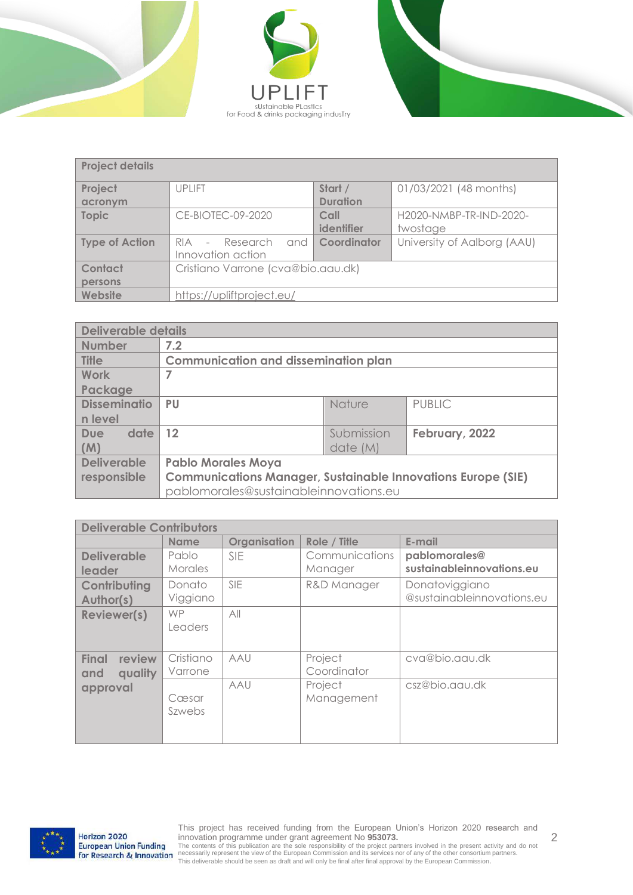





| <b>Project details</b> |                                    |                        |                             |
|------------------------|------------------------------------|------------------------|-----------------------------|
| Project                | <b>UPLIFT</b>                      | Start /                | 01/03/2021 (48 months)      |
| acronym                |                                    | <b>Duration</b>        |                             |
| <b>Topic</b>           | CE-BIOTEC-09-2020                  | Call                   | H2020-NMBP-TR-IND-2020-     |
|                        |                                    | identifier             | twostage                    |
| <b>Type of Action</b>  | - Research<br>RIA                  | and <b>Coordinator</b> | University of Aalborg (AAU) |
|                        | Innovation action                  |                        |                             |
| Contact                | Cristiano Varrone (cva@bio.aau.dk) |                        |                             |
| persons                |                                    |                        |                             |
| Website                | https://upliftproject.eu/          |                        |                             |

|                     | <b>Deliverable details</b>                                          |                                             |                |  |  |  |  |  |
|---------------------|---------------------------------------------------------------------|---------------------------------------------|----------------|--|--|--|--|--|
| <b>Number</b>       | 7.2                                                                 |                                             |                |  |  |  |  |  |
| <b>Title</b>        |                                                                     | <b>Communication and dissemination plan</b> |                |  |  |  |  |  |
| Work                |                                                                     |                                             |                |  |  |  |  |  |
| Package             |                                                                     |                                             |                |  |  |  |  |  |
| <b>Disseminatio</b> | <b>PU</b>                                                           | <b>Nature</b>                               | <b>PUBLIC</b>  |  |  |  |  |  |
| n level             |                                                                     |                                             |                |  |  |  |  |  |
| date<br>Due         | 12                                                                  | Submission                                  | February, 2022 |  |  |  |  |  |
| (M)                 |                                                                     | date (M)                                    |                |  |  |  |  |  |
| <b>Deliverable</b>  | <b>Pablo Morales Moya</b>                                           |                                             |                |  |  |  |  |  |
| responsible         | <b>Communications Manager, Sustainable Innovations Europe (SIE)</b> |                                             |                |  |  |  |  |  |
|                     | pablomorales@sustainableinnovations.eu                              |                                             |                |  |  |  |  |  |

|                                   | <b>Deliverable Contributors</b> |              |                        |                                            |  |  |  |  |  |  |  |
|-----------------------------------|---------------------------------|--------------|------------------------|--------------------------------------------|--|--|--|--|--|--|--|
|                                   | <b>Name</b>                     | Organisation | Role / Title           | E-mail                                     |  |  |  |  |  |  |  |
| <b>Deliverable</b>                | Pablo<br><b>Morales</b>         | <b>SIE</b>   | Communications         | pablomorales@<br>sustainableinnovations.eu |  |  |  |  |  |  |  |
| leader                            |                                 |              | Manager                |                                            |  |  |  |  |  |  |  |
| Contributing                      | Donato                          | <b>SIF</b>   | R&D Manager            | Donatoviggiano                             |  |  |  |  |  |  |  |
| Author(s)                         | Viggiano                        |              |                        | @sustainableinnovations.eu                 |  |  |  |  |  |  |  |
| <b>Reviewer(s)</b>                | <b>WP</b><br>Leaders            | All          |                        |                                            |  |  |  |  |  |  |  |
| Final<br>review<br>quality<br>and | Cristiano<br>Varrone            | AAU          | Project<br>Coordinator | cva@bio.aau.dk                             |  |  |  |  |  |  |  |
| approval                          | Cæsar<br>Szwebs                 | AAU          | Project<br>Management  | csz@bio.aau.dk                             |  |  |  |  |  |  |  |

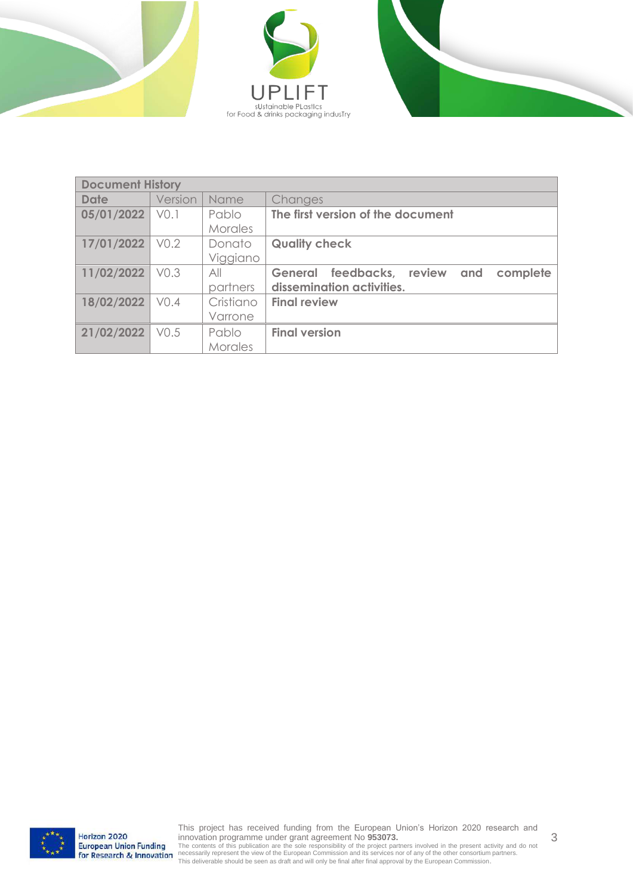





|             | <b>Document History</b> |           |                                              |  |  |  |  |  |  |  |
|-------------|-------------------------|-----------|----------------------------------------------|--|--|--|--|--|--|--|
| <b>Date</b> | Version                 | Name      | Changes                                      |  |  |  |  |  |  |  |
| 05/01/2022  | VO.1                    | Pablo     | The first version of the document            |  |  |  |  |  |  |  |
|             |                         | Morales   |                                              |  |  |  |  |  |  |  |
| 17/01/2022  | V <sub>0.2</sub>        | Donato    | <b>Quality check</b>                         |  |  |  |  |  |  |  |
|             |                         | Viggiano  |                                              |  |  |  |  |  |  |  |
| 11/02/2022  | VO.3                    | All       | General feedbacks, review<br>complete<br>and |  |  |  |  |  |  |  |
|             |                         | partners  | dissemination activities.                    |  |  |  |  |  |  |  |
| 18/02/2022  | V <sub>0.4</sub>        | Cristiano | <b>Final review</b>                          |  |  |  |  |  |  |  |
|             |                         | Varrone   |                                              |  |  |  |  |  |  |  |
| 21/02/2022  | V <sub>0.5</sub>        | Pablo     | <b>Final version</b>                         |  |  |  |  |  |  |  |
|             |                         | Morales   |                                              |  |  |  |  |  |  |  |



3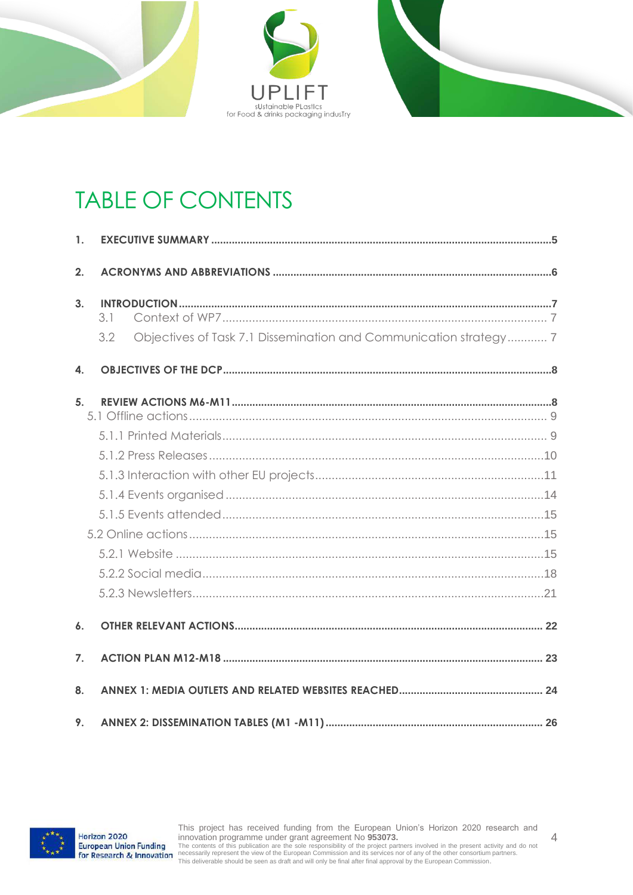



## TABLE OF CONTENTS

| 1.             |                                                                          |  |
|----------------|--------------------------------------------------------------------------|--|
| 2.             |                                                                          |  |
| 3.             | 3.1                                                                      |  |
|                | Objectives of Task 7.1 Dissemination and Communication strategy 7<br>3.2 |  |
| 4.             |                                                                          |  |
| 5 <sub>1</sub> |                                                                          |  |
|                |                                                                          |  |
|                |                                                                          |  |
|                |                                                                          |  |
|                |                                                                          |  |
|                |                                                                          |  |
|                |                                                                          |  |
|                |                                                                          |  |
|                |                                                                          |  |
|                |                                                                          |  |
| 6.             |                                                                          |  |
| 7.             |                                                                          |  |
| 8.             |                                                                          |  |
| 9.             |                                                                          |  |

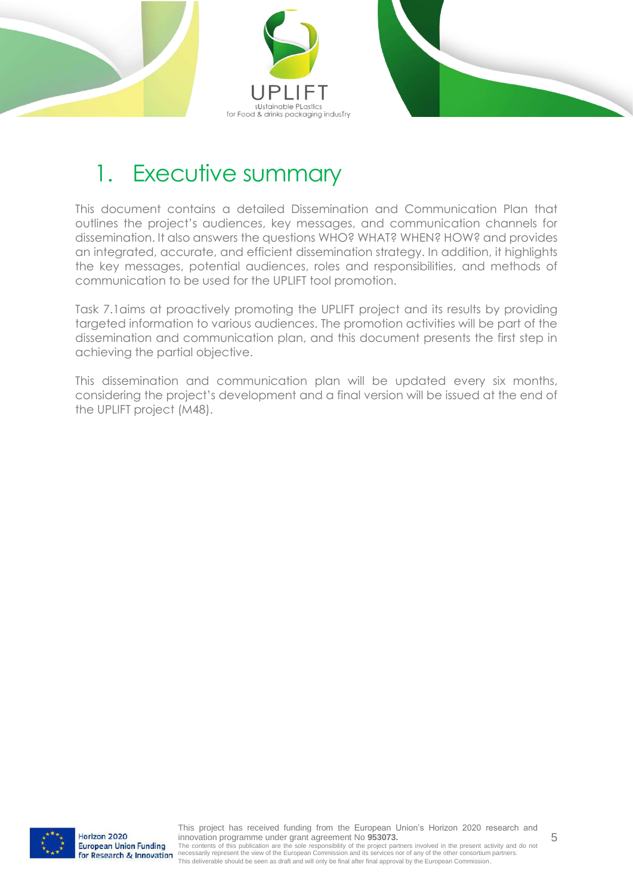



### <span id="page-4-0"></span>1. Executive summary

This document contains a detailed Dissemination and Communication Plan that outlines the project's audiences, key messages, and communication channels for dissemination. It also answers the questions WHO? WHAT? WHEN? HOW? and provides an integrated, accurate, and efficient dissemination strategy. In addition, it highlights the key messages, potential audiences, roles and responsibilities, and methods of communication to be used for the UPLIFT tool promotion.

Task 7.1aims at proactively promoting the UPLIFT project and its results by providing targeted information to various audiences. The promotion activities will be part of the dissemination and communication plan, and this document presents the first step in achieving the partial objective.

This dissemination and communication plan will be updated every six months, considering the project's development and a final version will be issued at the end of the UPLIFT project (M48).

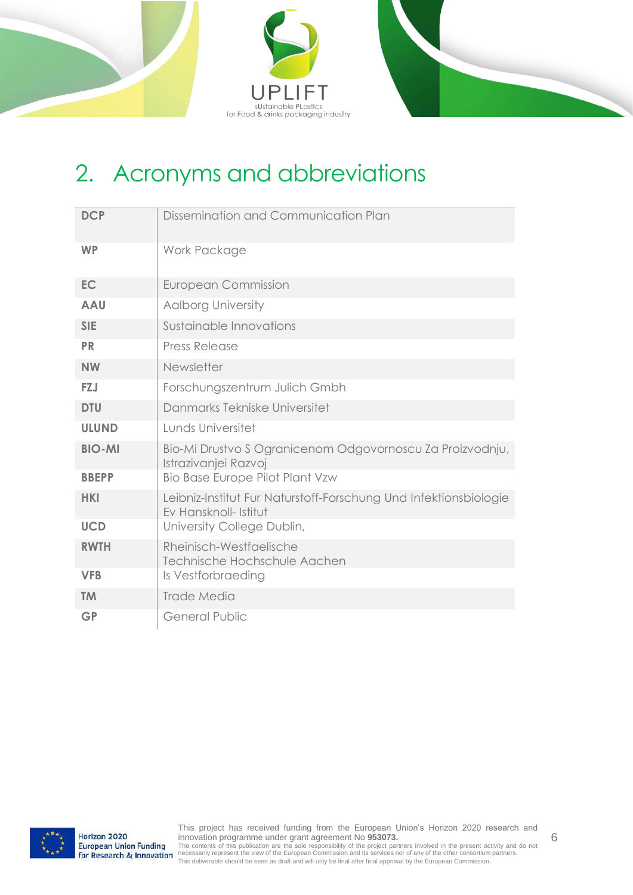



### <span id="page-5-0"></span>2. Acronyms and abbreviations

| <b>DCP</b>    | Dissemination and Communication Plan                                                      |
|---------------|-------------------------------------------------------------------------------------------|
| <b>WP</b>     | Work Package                                                                              |
| <b>EC</b>     | <b>European Commission</b>                                                                |
| <b>AAU</b>    | <b>Aalborg University</b>                                                                 |
| <b>SIE</b>    | Sustainable Innovations                                                                   |
| <b>PR</b>     | <b>Press Release</b>                                                                      |
| <b>NW</b>     | Newsletter                                                                                |
| <b>FZJ</b>    | Forschungszentrum Julich Gmbh                                                             |
| <b>DTU</b>    | Danmarks Tekniske Universitet                                                             |
| <b>ULUND</b>  | Lunds Universitet                                                                         |
| <b>BIO-MI</b> | Bio-Mi Drustvo S Ogranicenom Odgovornoscu Za Proizvodnju,<br>Istrazivanjej Razvoj         |
| <b>BBEPP</b>  | <b>Bio Base Europe Pilot Plant Vzw</b>                                                    |
| <b>HKI</b>    | Leibniz-Institut Fur Naturstoff-Forschung Und Infektionsbiologie<br>Ev Hansknoll- Istitut |
| <b>UCD</b>    | University College Dublin,                                                                |
| <b>RWTH</b>   | Rheinisch-Westfaelische<br>Technische Hochschule Aachen                                   |
| <b>VFB</b>    | Is Vestforbraeding                                                                        |
| <b>TM</b>     | Trade Media                                                                               |
| <b>GP</b>     | <b>General Public</b>                                                                     |

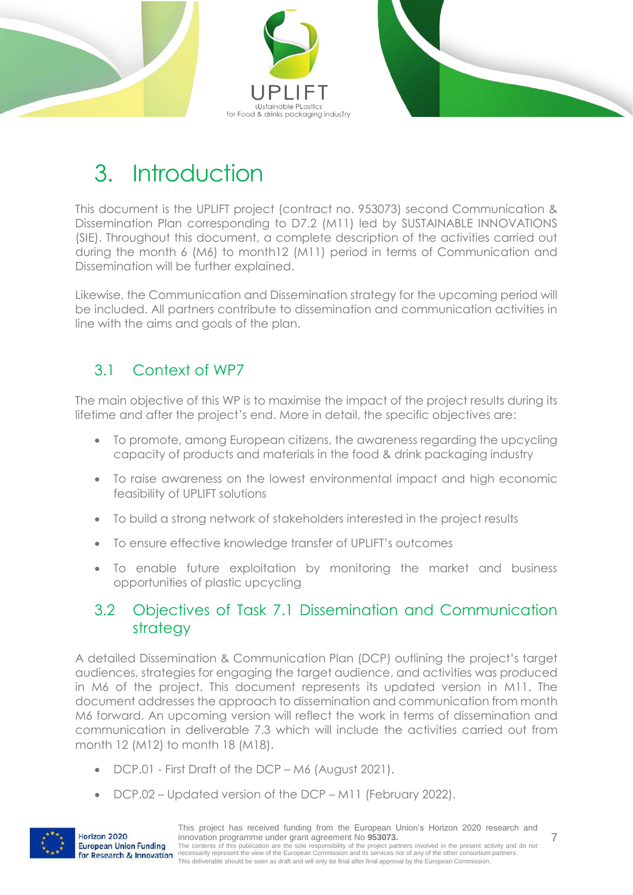



## <span id="page-6-0"></span>3. Introduction

This document is the UPLIFT project (contract no. 953073) second Communication & Dissemination Plan corresponding to D7.2 (M11) led by SUSTAINABLE INNOVATIONS (SIE). Throughout this document, a complete description of the activities carried out during the month 6 (M6) to month12 (M11) period in terms of Communication and Dissemination will be further explained.

Likewise, the Communication and Dissemination strategy for the upcoming period will be included. All partners contribute to dissemination and communication activities in line with the aims and goals of the plan.

#### <span id="page-6-1"></span>3.1 Context of WP7

The main objective of this WP is to maximise the impact of the project results during its lifetime and after the project's end. More in detail, the specific objectives are:

- To promote, among European citizens, the awareness regarding the upcycling capacity of products and materials in the food & drink packaging industry
- To raise awareness on the lowest environmental impact and high economic feasibility of UPLIFT solutions
- To build a strong network of stakeholders interested in the project results
- To ensure effective knowledge transfer of UPLIFT's outcomes
- To enable future exploitation by monitoring the market and business opportunities of plastic upcycling

#### <span id="page-6-2"></span>3.2 Objectives of Task 7.1 Dissemination and Communication strategy

A detailed Dissemination & Communication Plan (DCP) outlining the project's target audiences, strategies for engaging the target audience, and activities was produced in M6 of the project. This document represents its updated version in M11. The document addresses the approach to dissemination and communication from month M6 forward. An upcoming version will reflect the work in terms of dissemination and communication in deliverable 7.3 which will include the activities carried out from month 12 (M12) to month 18 (M18).

- DCP.01 First Draft of the DCP M6 (August 2021).
- DCP.02 Updated version of the DCP M11 (February 2022).



Horizon 2020

7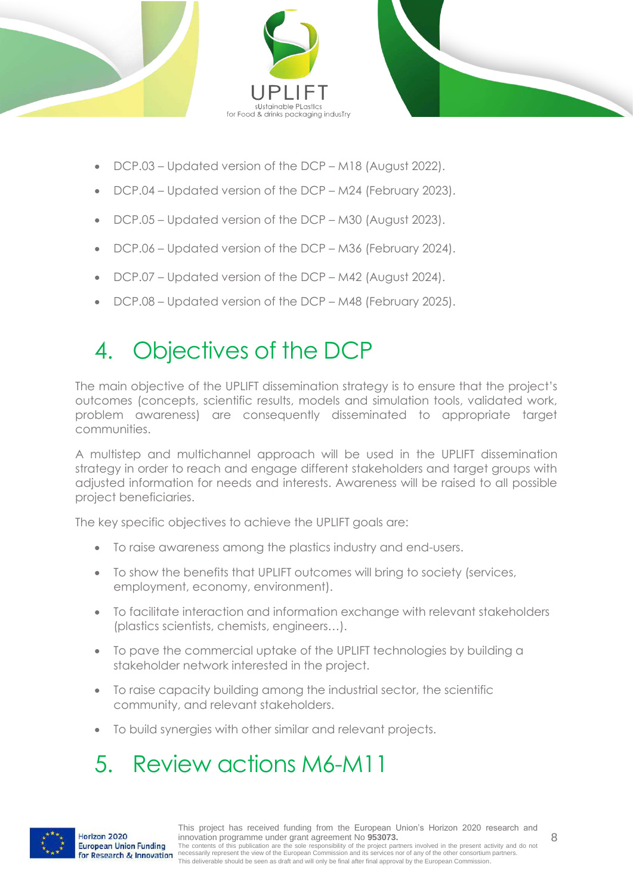



- DCP.03 Updated version of the DCP M18 (August 2022).
- DCP.04 Updated version of the DCP M24 (February 2023).
- DCP.05 Updated version of the DCP M30 (August 2023).
- DCP.06 Updated version of the DCP M36 (February 2024).
- DCP.07 Updated version of the DCP M42 (August 2024).
- DCP.08 Updated version of the DCP M48 (February 2025).

## <span id="page-7-0"></span>4. Objectives of the DCP

The main objective of the UPLIFT dissemination strategy is to ensure that the project's outcomes (concepts, scientific results, models and simulation tools, validated work, problem awareness) are consequently disseminated to appropriate target communities.

A multistep and multichannel approach will be used in the UPLIFT dissemination strategy in order to reach and engage different stakeholders and target groups with adjusted information for needs and interests. Awareness will be raised to all possible project beneficiaries.

The key specific objectives to achieve the UPLIFT goals are:

- To raise awareness among the plastics industry and end-users.
- To show the benefits that UPLIFT outcomes will bring to society (services, employment, economy, environment).
- To facilitate interaction and information exchange with relevant stakeholders (plastics scientists, chemists, engineers…).
- To pave the commercial uptake of the UPLIFT technologies by building a stakeholder network interested in the project.
- To raise capacity building among the industrial sector, the scientific community, and relevant stakeholders.
- To build synergies with other similar and relevant projects.

### <span id="page-7-1"></span>5. Review actions M6-M11

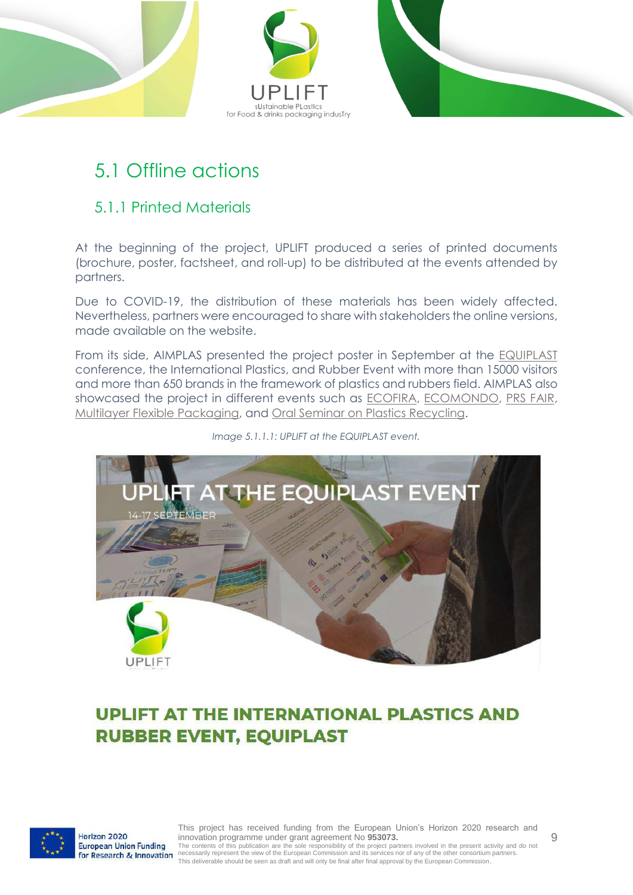

### <span id="page-8-0"></span>5.1 Offline actions

#### <span id="page-8-1"></span>5.1.1 Printed Materials

At the beginning of the project, UPLIFT produced a series of printed documents (brochure, poster, factsheet, and roll-up) to be distributed at the events attended by partners.

Due to COVID-19, the distribution of these materials has been widely affected. Nevertheless, partners were encouraged to share with stakeholders the online versions, made available on the website.

From its side, AIMPLAS presented the project poster in September at the [EQUIPLAST](https://upliftproject.eu/uplift-at-the-equiplast/) conference, the International Plastics, and Rubber Event with more than 15000 visitors and more than 650 brands in the framework of plastics and rubbers field. AIMPLAS also showcased the project in different events such as [ECOFIRA,](https://ecofira.feriavalencia.com/en/listado-expositores-2021/) [ECOMONDO,](https://en.ecomondo.com/) [PRS FAIR,](https://www.tradefairdates.com/Plastics-Recycling-Show-Europe-PRS-M9779/Amsterdam.html) [Multilayer Flexible Packaging,](https://www.ami.international/events/event?Code=C1147) and [Oral Seminar on Plastics Recycling.](https://www.plasticsrecyclingseminar.com/en/)



#### *Image 5.1.1.1: UPLIFT at the EQUIPLAST event.*

### **UPLIFT AT THE INTERNATIONAL PLASTICS AND RUBBER EVENT, EQUIPLAST**



Horizon 2020 European Union Funding for Research & Innovation

This project has received funding from the European Union's Horizon 2020 research and innovation programme under grant agreement No **953073.** The contents of this publication are the sole responsibility of the project partners involved in the present activity and do not<br>necessarily represent the view of the European Commission and its services nor of any of the This deliverable should be seen as draft and will only be final after final approval by the European Commission.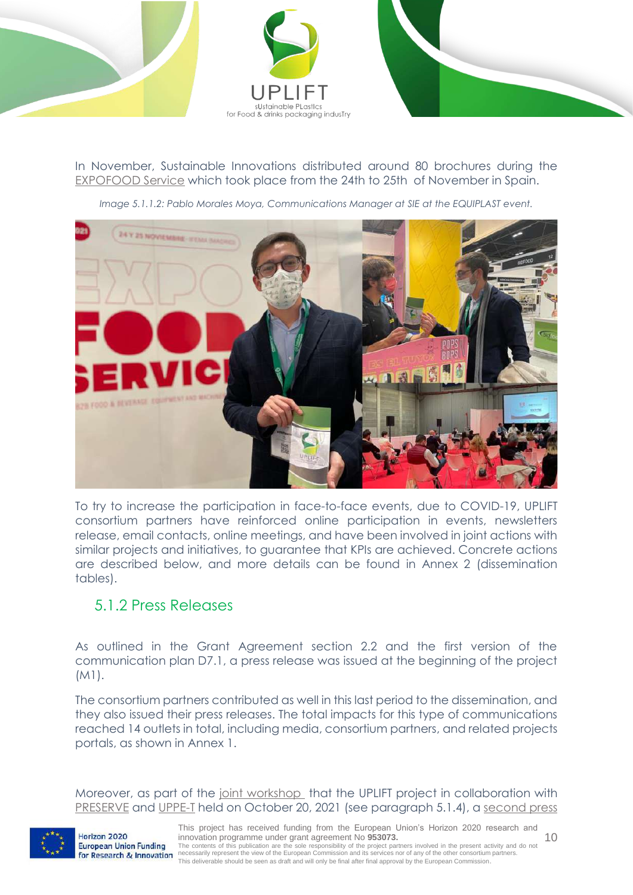



In November, Sustainable Innovations distributed around 80 brochures during the [EXPOFOOD Service](https://expofoodservice.com/) which took place from the 24th to 25th of November in Spain.

*Image 5.1.1.2: Pablo Morales Moya, Communications Manager at SIE at the EQUIPLAST event.*



To try to increase the participation in face-to-face events, due to COVID-19, UPLIFT consortium partners have reinforced online participation in events, newsletters release, email contacts, online meetings, and have been involved in joint actions with similar projects and initiatives, to guarantee that KPIs are achieved. Concrete actions are described below, and more details can be found in Annex 2 (dissemination tables).

#### <span id="page-9-0"></span>5.1.2 Press Releases

As outlined in the Grant Agreement section 2.2 and the first version of the communication plan D7.1, a press release was issued at the beginning of the project (M1).

The consortium partners contributed as well in this last period to the dissemination, and they also issued their press releases. The total impacts for this type of communications reached 14 outlets in total, including media, consortium partners, and related projects portals, as shown in Annex 1.

Moreover, as part of the [joint workshop](https://upliftproject.eu/uplift-joint-workshop/) that the UPLIFT project in collaboration with [PRESERVE](https://www.preserve-h2020.eu/) and [UPPE-T](https://uppet.eu/) held on October 20, 2021 (see paragraph 5.1.4), a [second press](https://upliftproject.eu/wp-content/uploads/2021/09/PR-UPLIFT-JOINT-WORKSHOP.pdf) 

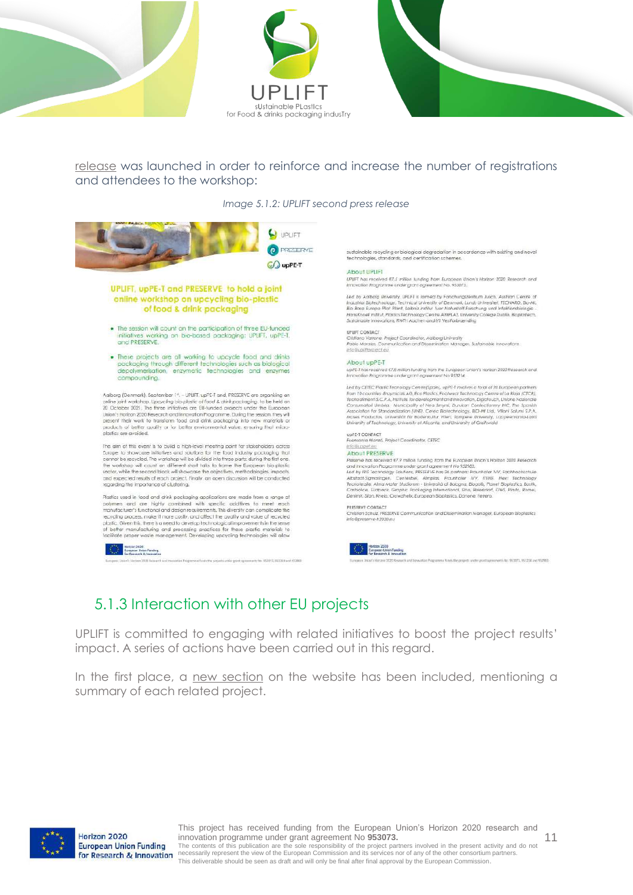



[release](https://upliftproject.eu/wp-content/uploads/2021/09/PR-UPLIFT-JOINT-WORKSHOP.pdf) was launched in order to reinforce and increase the number of registrations and attendees to the workshop:

*Image 5.1.2: UPLIFT second press release*



#### <span id="page-10-0"></span>5.1.3 Interaction with other EU projects

UPLIFT is committed to engaging with related initiatives to boost the project results' impact. A series of actions have been carried out in this regard.

In the first place, a [new section](https://upliftproject.eu/related-projects/) on the website has been included, mentioning a summary of each related project.

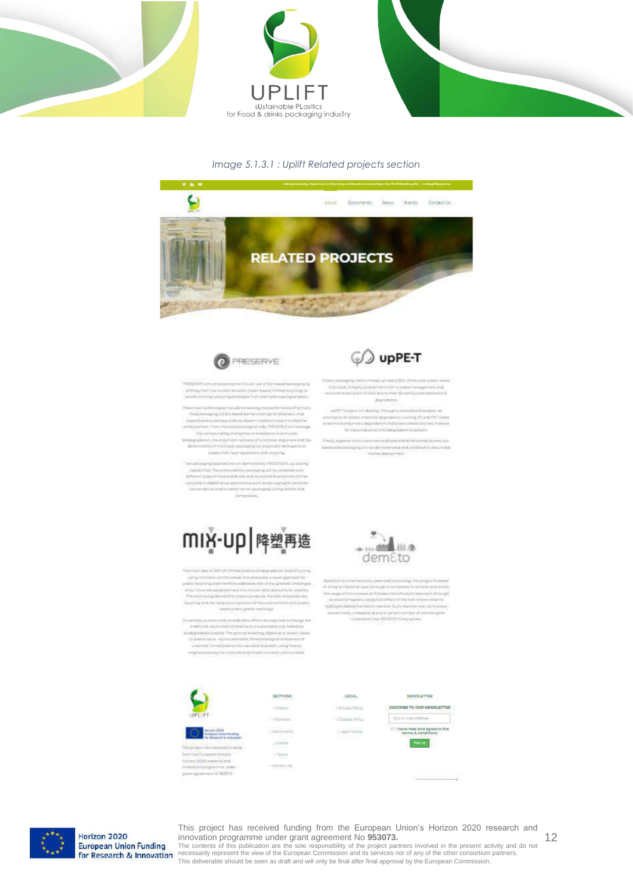





#### *Image 5.1.3.1 : Uplift Related projects section*





that setup winnight booking the circular use of the town producting to e escala una minima contenente por consum una se suo summa passeggina;<br>- virifing frame line summa misualism (famili cometi, Ominad respelling) to:<br>- suverbinning specificity sinutuation frame and suggestig projects.

 $\begin{minipage}[t]{0.9\textwidth} \begin{tabular}{p{0.8cm}} \hline \textbf{a} & \textbf{a} & \textbf{b} & \textbf{c} & \textbf{c} & \textbf{c} & \textbf{c} & \textbf{c} & \textbf{c} & \textbf{c} & \textbf{c} & \textbf{c} & \textbf{c} & \textbf{c} & \textbf{c} & \textbf{c} & \textbf{c} & \textbf{c} & \textbf{c} & \textbf{c} & \textbf{c} & \textbf{c} & \textbf{c} & \textbf{c} & \textbf{c} & \textbf{c} & \textbf{c}$ 

 $\label{thm:main} The density of the form is a group of the action is given in the form of the  
dimensional map of multiplicity as mapping as a map of a map.$ 

(e) provided and cations will demonstrate PRISTING up and my 

## miy-up 降塑再造

The main rate of MM UP (MMad plastics biodiver site The prints plane of MAC UP (IATA) and painting booking militarist and UP<br>speling control respectively. The state of the state and the speed of<br>speed and the state of the state of the state of the state of<br>the state of the

 $\label{eq:optimal} \begin{minipage}[t]{0.0\textwidth} \begin{minipage}[t]{0.0\textwidth} \begin{itemize} \color{blue}{\textbf{0.0\textwidth}} \begin{itemize} \color{blue}{\textbf{0.0\textwidth}} \begin{itemize} \color{blue}{\textbf{0.0\textwidth}} \begin{itemize} \color{blue}{\textbf{0.0\textwidth}} \begin{itemize} \color{blue}{\textbf{0.0\textwidth}} \begin{itemize} \color{blue}{\textbf{0.0\textwidth}} \begin{itemize} \color{blue}{\textbf{0.0\textwidth}} \begin{itemize} \color{blue}{\textbf{0.0\textwidth}} \begin{item$ created mixed platfox (no velable biography using heavily of the relation from the annual contract of the problems

**SECTIONS:** 

 $\frac{1}{2}$ 

 $\epsilon$  -section.

concerts.

a burnis

v have,

 $\rightarrow$  Content S

 $...$ 

*S* upPE-T

-<br>- In Europe, a triply problemate them success that approximated<br>- insurance time of the state of the during that during the state of the state

digestrees.

 $\begin{tabular}{l|p{0.5em}|} \hline & $a=0.7$ &\hline \end{tabular} \begin{minipage}{0.95\textwidth} \begin{tabular}{l} \hline $a=0.7$ &\hline \end{tabular} \end{tabular} \begin{tabular}{l} \hline $a=0.7$ &\hline \end{tabular} \end{tabular} \begin{minipage}{0.95\textwidth} \begin{tabular}{l} \hline $a=0.7$ &\hline \end{tabular} \end{tabular} \begin{minipage}{0.95\textwidth} \begin{tabular}{l} \hline $a=0.7$ &\hline \end{tabular} \end{minipage} \$ 

 $\label{eq:reduced} \begin{minipage}[t]{0.0\textwidth} \begin{minipage}[t]{0.0\textwidth} \begin{itemize} \begin{itemize} \begin{itemize} \begin{itemize} \end{itemize} \end{itemize} \end{itemize} \end{minipage}[t]{0.0\textwidth} \begin{minipage}[t]{0.0\textwidth} \begin{itemize} \end{itemize} \end{minipage}[t]{0.0\textwidth} \begin{itemize} \begin{itemize} \end{itemize} \end{itemize} \end{minipage}[t]{0.0\textwidth} \begin{minipage}[t]{0.0\textwidth} \begin{itemize} \end{itemize} \end{minipage}[t]{0$ 

aroldou pleninsi



 $\label{thm:main} \begin{minipage}[t]{0.9\textwidth} \begin{tabular}{l} \textbf{R} model \emph{or} \emph{a} \emph{a} \emph{b} \emph{a} \emph{b} \emph{b} \emph{b} \emph{b} \emph{c} \emph{b} \emph{b} \emph{c} \emph{b} \emph{c} \emph{b} \emph{d} \emph{b} \emph{d} \emph{b} \emph{d} \emph{b} \emph{d} \emph{d} \emph{d} \emph{d} \emph{b} \emph{e} \emph{d} \emph{b} \$ hydrolysis depotymentation reaction Duch reaction and up to know economically orthostal dustrial and also norther at tachwaicigical<br>constants that DEMETO finally active.



This project has received funding ham the Surapeart Material Husterin 2020 research and isalah eropama usa динационный члаботь







Horizon 2020 **European Union Funding** for Research & Innovation

This project has received funding from the European Union's Horizon 2020 research and innovation programme under grant agreement No **953073.**

The contents of this publication are the sole responsibility of the project partners involved in the present activity and do not<br>necessarily represent the view of the European Commission and its services nor of any of the This deliverable should be seen as draft and will only be final after final approval by the European Commission.

12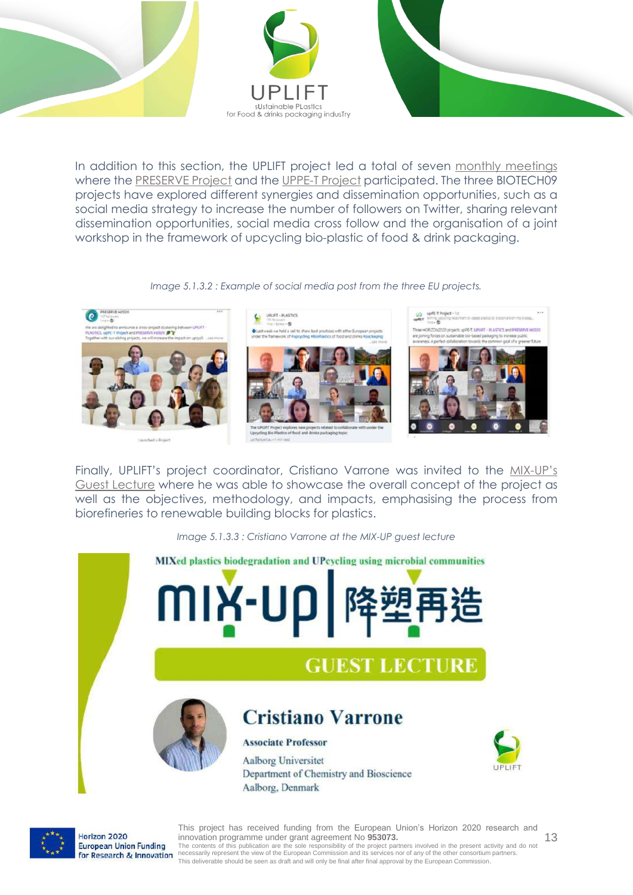

In addition to this section, the UPLIFT project led a total of seven [monthly meetings](https://upliftproject.eu/uplift-relatedproject-uppet-preserve/) where the [PRESERVE Project](https://www.preserve-h2020.eu/) and the [UPPE-T Project](https://uppet.eu/) participated. The three BIOTECH09 projects have explored different synergies and dissemination opportunities, such as a social media strategy to increase the number of followers on Twitter, sharing relevant dissemination opportunities, social media cross follow and the organisation of a joint workshop in the framework of upcycling bio-plastic of food & drink packaging.

#### *Image 5.1.3.2 : Example of social media post from the three EU projects.*



Finally, UPLIFT's project coordinator, Cristiano Varrone was invited to the [MIX-](https://upliftproject.eu/uplift-invited-to-the-mix-ups-guest-lecture/)UP's [Guest Lecture](https://upliftproject.eu/uplift-invited-to-the-mix-ups-guest-lecture/) where he was able to showcase the overall concept of the project as well as the objectives, methodology, and impacts, emphasising the process from biorefineries to renewable building blocks for plastics.

*Image 5.1.3.3 : Cristiano Varrone at the MIX-UP guest lecture* 





Horizon 2020 **European Union Funding** for Research & Innovation

This project has received funding from the European Union's Horizon 2020 research and innovation programme under grant agreement No **953073.**

The contents of this publication are the sole responsibility of the project partners involved in the present activity and do not<br>necessarily represent the view of the European Commission and its services nor of any of the This deliverable should be seen as draft and will only be final after final approval by the European Commission.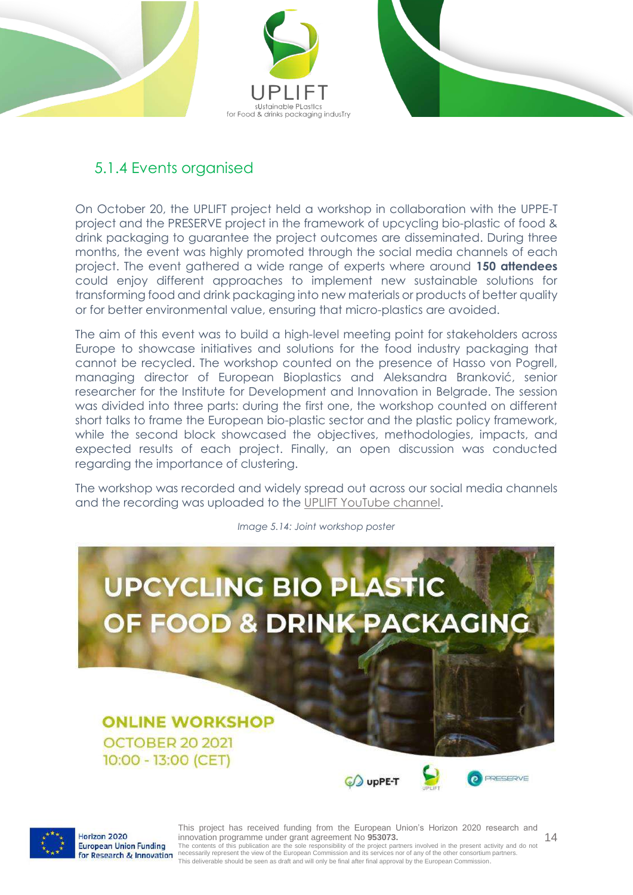



### <span id="page-13-0"></span>5.1.4 Events organised

On October 20, the UPLIFT project held a workshop in collaboration with the UPPE-T project and the PRESERVE project in the framework of upcycling bio-plastic of food & drink packaging to guarantee the project outcomes are disseminated. During three months, the event was highly promoted through the social media channels of each project. The event gathered a wide range of experts where around **150 attendees** could enjoy different approaches to implement new sustainable solutions for transforming food and drink packaging into new materials or products of better quality or for better environmental value, ensuring that micro-plastics are avoided.

The aim of this event was to build a high-level meeting point for stakeholders across Europe to showcase initiatives and solutions for the food industry packaging that cannot be recycled. The workshop counted on the presence of Hasso von Pogrell, managing director of European Bioplastics and Aleksandra Branković, senior researcher for the Institute for Development and Innovation in Belgrade. The session was divided into three parts: during the first one, the workshop counted on different short talks to frame the European bio-plastic sector and the plastic policy framework, while the second block showcased the objectives, methodologies, impacts, and expected results of each project. Finally, an open discussion was conducted regarding the importance of clustering.

The workshop was recorded and widely spread out across our social media channels and the recording was uploaded to the [UPLIFT YouTube channel.](https://www.youtube.com/watch?v=hegmcK7xfmw)

**UPCYCLING BIO PLASTIC** OF FOOD & DRINK PACKAGING **ONLINE WORKSHOP OCTOBER 20 2021** 10:00 - 13:00 (CET) PRESERVE CO upPE-T

*Image 5.14: Joint workshop poster*



Horizon 2020

This project has received funding from the European Union's Horizon 2020 research and innovation programme under grant agreement No **953073.** The contents of this publication are the sole responsibility of the project partners involved in the present activity and do not<br>necessarily represent the view of the European Commission and its services nor of any of the This deliverable should be seen as draft and will only be final after final approval by the European Commission.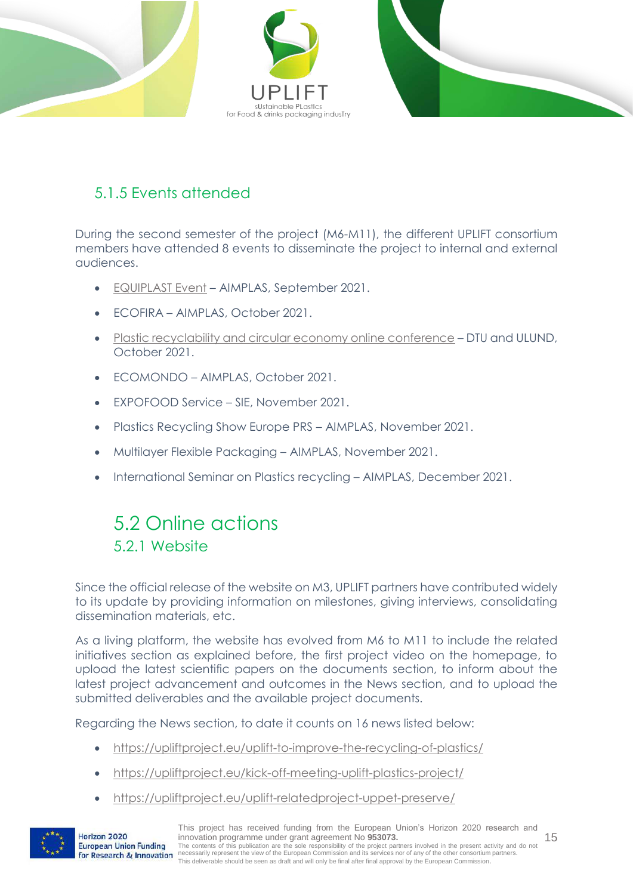

#### <span id="page-14-0"></span>5.1.5 Events attended

During the second semester of the project (M6-M11), the different UPLIFT consortium members have attended 8 events to disseminate the project to internal and external audiences.

- [EQUIPLAST Event](https://upliftproject.eu/uplift-at-the-equiplast/) AIMPLAS, September 2021.
- ECOFIRA AIMPLAS, October 2021.
- [Plastic recyclability and circular economy online conference](https://upliftproject.eu/uplift-plastic-recyclability-circularity-economy-conference/) DTU and ULUND, October 2021.
- ECOMONDO AIMPLAS, October 2021.
- EXPOFOOD Service SIE, November 2021.
- Plastics Recycling Show Europe PRS AIMPLAS, November 2021.
- Multilayer Flexible Packaging AIMPLAS, November 2021.
- International Seminar on Plastics recycling AIMPLAS, December 2021.

### <span id="page-14-1"></span>5.2 Online actions 5.2.1 Website

<span id="page-14-2"></span>Since the official release of the website on M3, UPLIFT partners have contributed widely to its update by providing information on milestones, giving interviews, consolidating dissemination materials, etc.

As a living platform, the website has evolved from M6 to M11 to include the related initiatives section as explained before, the first project video on the homepage, to upload the latest scientific papers on the documents section, to inform about the latest project advancement and outcomes in the News section, and to upload the submitted deliverables and the available project documents.

Regarding the News section, to date it counts on 16 news listed below:

- <https://upliftproject.eu/uplift-to-improve-the-recycling-of-plastics/>
- <https://upliftproject.eu/kick-off-meeting-uplift-plastics-project/>
- <https://upliftproject.eu/uplift-relatedproject-uppet-preserve/>



Horizon 2020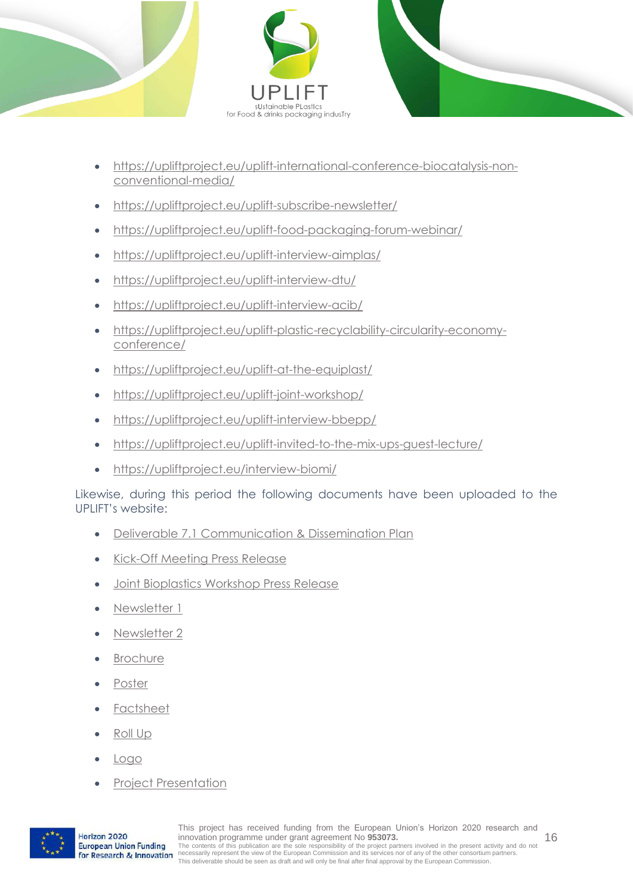



- [https://upliftproject.eu/uplift-international-conference-biocatalysis-non](https://upliftproject.eu/uplift-international-conference-biocatalysis-non-conventional-media/)[conventional-media/](https://upliftproject.eu/uplift-international-conference-biocatalysis-non-conventional-media/)
- <https://upliftproject.eu/uplift-subscribe-newsletter/>
- <https://upliftproject.eu/uplift-food-packaging-forum-webinar/>
- <https://upliftproject.eu/uplift-interview-aimplas/>
- <https://upliftproject.eu/uplift-interview-dtu/>
- <https://upliftproject.eu/uplift-interview-acib/>
- [https://upliftproject.eu/uplift-plastic-recyclability-circularity-economy](https://upliftproject.eu/uplift-plastic-recyclability-circularity-economy-conference/)[conference/](https://upliftproject.eu/uplift-plastic-recyclability-circularity-economy-conference/)
- <https://upliftproject.eu/uplift-at-the-equiplast/>
- <https://upliftproject.eu/uplift-joint-workshop/>
- <https://upliftproject.eu/uplift-interview-bbepp/>
- <https://upliftproject.eu/uplift-invited-to-the-mix-ups-guest-lecture/>
- <https://upliftproject.eu/interview-biomi/>

Likewise, during this period the following documents have been uploaded to the UPLIFT's website:

- [Deliverable 7.1 Communication & Dissemination Plan](https://upliftproject.eu/wp-content/uploads/2021/11/D7.1-%E2%80%93-Dissemination-and-communication-plan_.pdf)
- [Kick-Off Meeting Press Release](https://upliftproject.eu/wp-content/uploads/2021/05/KOM_Press_Release_UPLIFT_Plastic_Upcycling_Circular_Economy.pdf)
- [Joint Bioplastics Workshop Press Release](https://upliftproject.eu/wp-content/uploads/2021/09/PR-UPLIFT-JOINT-WORKSHOP.pdf)
- [Newsletter 1](https://mailchi.mp/eb297738c5ec/d7xgvonp6b-4822406)
- [Newsletter 2](https://mailchi.mp/aef3392c39f7/d7xgvonp6b-4900510)
- [Brochure](https://upliftproject.eu/wp-content/uploads/2021/11/Brochure-UPLIFT_compressed.pdf)
- [Poster](https://upliftproject.eu/wp-content/uploads/2021/11/Poster-UPLIFT_compressed.pdf)
- [Factsheet](https://upliftproject.eu/wp-content/uploads/2021/05/factsheet.pdf_compressed.pdf)
- [Roll Up](https://upliftproject.eu/wp-content/uploads/2021/11/RollUp-UPLIFT_compressed.pdf)
- [Logo](https://upliftproject.eu/wp-content/uploads/2021/05/logo-uplift-png.png)
- [Project Presentation](https://upliftproject.eu/wp-content/uploads/2021/11/UPLIFT-Project-Presentation_compressed.pdf)

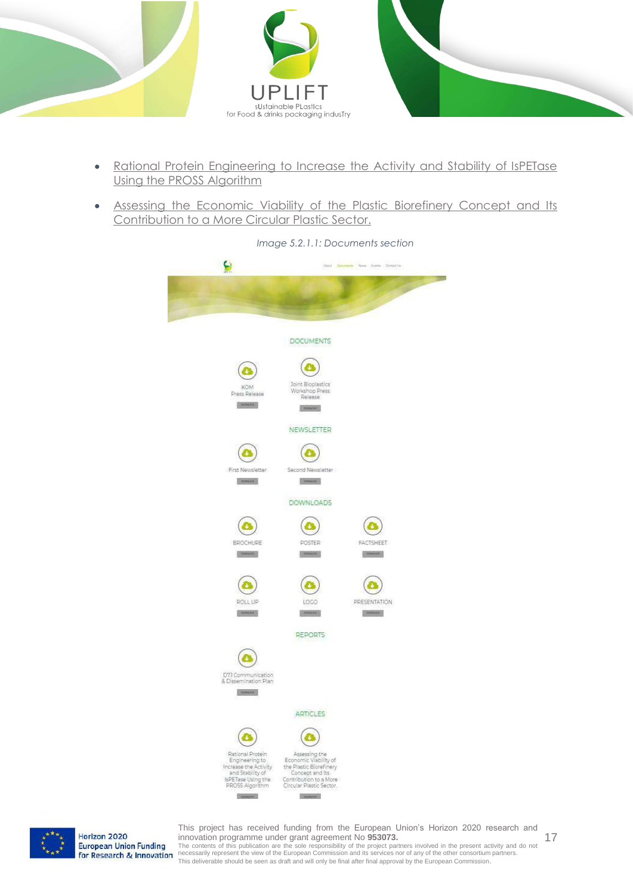

- [Rational Protein Engineering to Increase the Activity and Stability of IsPETase](https://upliftproject.eu/wp-content/uploads/2021/11/Rational-Protein-Engineering-Increase-Activity-and-staility-IsPETase.pdf)  [Using the PROSS Algorithm](https://upliftproject.eu/wp-content/uploads/2021/11/Rational-Protein-Engineering-Increase-Activity-and-staility-IsPETase.pdf)
- Assessing the Economic Viability of the Plastic Biorefinery Concept and Its [Contribution to a More Circular Plastic Sector.](https://upliftproject.eu/wp-content/uploads/2021/11/Assessing-Economic-Viability-of-Plastic-Biorefinery-Concept.pdf)



*Image 5.2.1.1: Documents section*



Horizon 2020 **European Union Funding** for Research & Innovation

17 This project has received funding from the European Union's Horizon 2020 research and innovation programme under grant agreement No **953073.**

The contents of this publication are the sole responsibility of the project partners involved in the present activity and do not<br>necessarily represent the view of the European Commission and its services nor of any of the This deliverable should be seen as draft and will only be final after final approval by the European Commission.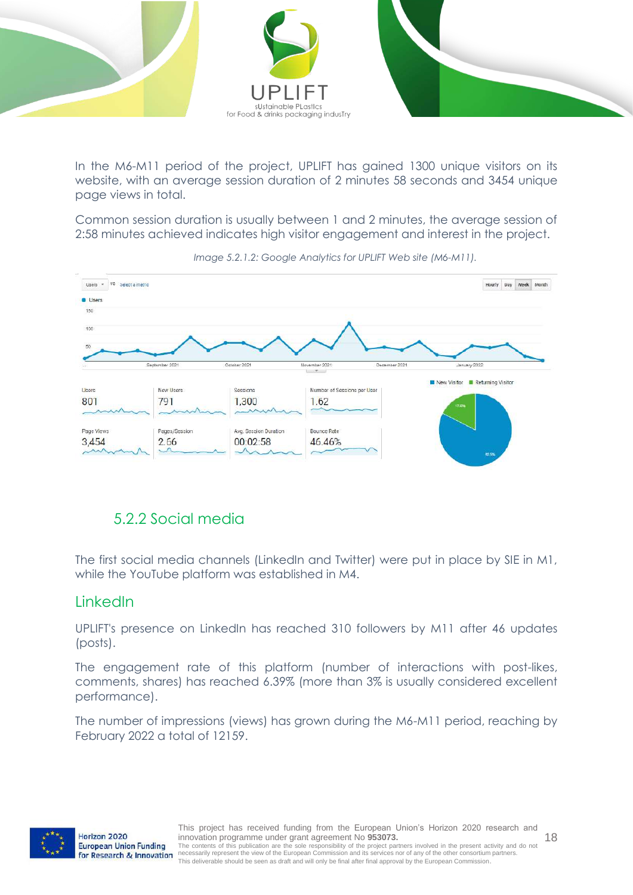

In the M6-M11 period of the project, UPLIFT has gained 1300 unique visitors on its website, with an average session duration of 2 minutes 58 seconds and 3454 unique page views in total.

Common session duration is usually between 1 and 2 minutes, the average session of 2:58 minutes achieved indicates high visitor engagement and interest in the project.



*Image 5.2.1.2: Google Analytics for UPLIFT Web site (M6-M11).*

#### <span id="page-17-0"></span>5.2.2 Social media

The first social media channels (LinkedIn and Twitter) were put in place by SIE in M1, while the YouTube platform was established in M4.

#### LinkedIn

UPLIFT's presence on LinkedIn has reached 310 followers by M11 after 46 updates (posts).

The engagement rate of this platform (number of interactions with post-likes, comments, shares) has reached 6.39% (more than 3% is usually considered excellent performance).

The number of impressions (views) has grown during the M6-M11 period, reaching by February 2022 a total of 12159.

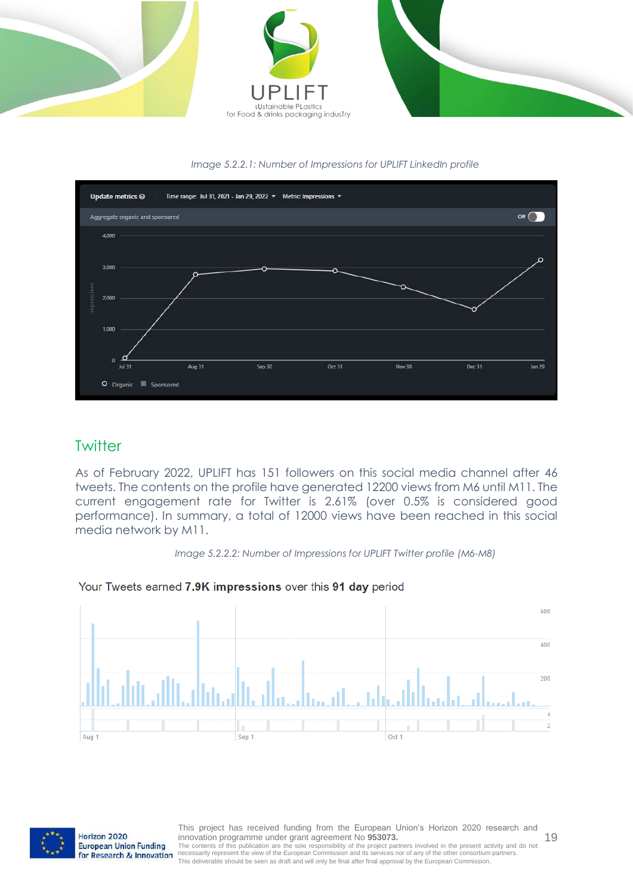





#### **Twitter**

As of February 2022, UPLIFT has 151 followers on this social media channel after 46 tweets. The contents on the profile have generated 12200 views from M6 until M11. The current engagement rate for Twitter is 2.61% (over 0.5% is considered good performance). In summary, a total of 12000 views have been reached in this social media network by M11.



#### Your Tweets earned 7.9K impressions over this 91 day period





Horizon 2020 European Union Funding for Research & Innovation

This project has received funding from the European Union's Horizon 2020 research and innovation programme under grant agreement No **953073.** The contents of this publication are the sole responsibility of the project partners involved in the present activity and do not<br>necessarily represent the view of the European Commission and its services nor of any of the This deliverable should be seen as draft and will only be final after final approval by the European Commission.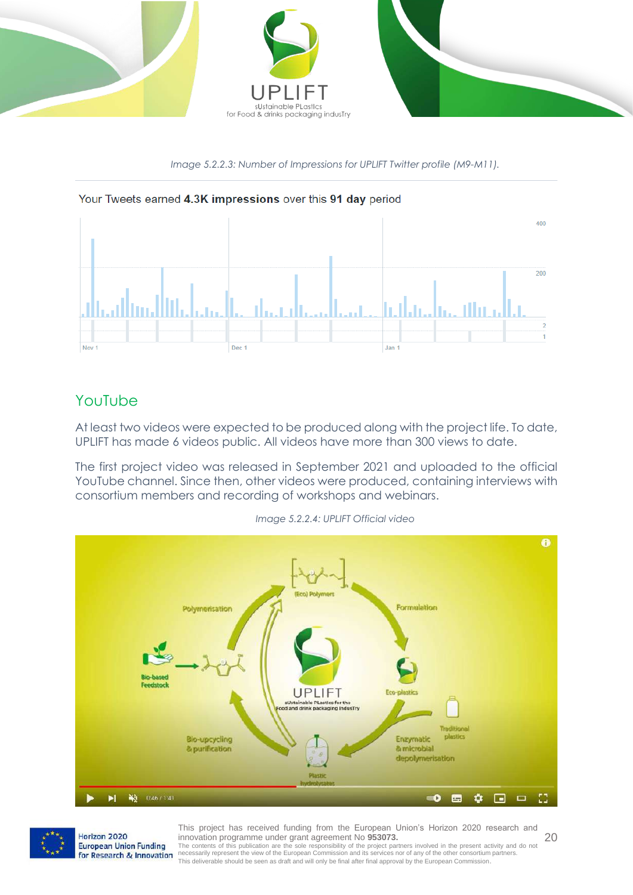

*Image 5.2.2.3: Number of Impressions for UPLIFT Twitter profile (M9-M11).*



#### YouTube

At least two videos were expected to be produced along with the project life. To date, UPLIFT has made 6 videos public. All videos have more than 300 views to date.

The first project video was released in September 2021 and uploaded to the official YouTube channel. Since then, other videos were produced, containing interviews with consortium members and recording of workshops and webinars.



*Image 5.2.2.4: UPLIFT Official video*



Horizon 2020 European Union Funding for Research & Innovation

20 This project has received funding from the European Union's Horizon 2020 research and innovation programme under grant agreement No **953073.**

The contents of this publication are the sole responsibility of the project partners involved in the present activity and do not<br>necessarily represent the view of the European Commission and its services nor of any of the This deliverable should be seen as draft and will only be final after final approval by the European Commission.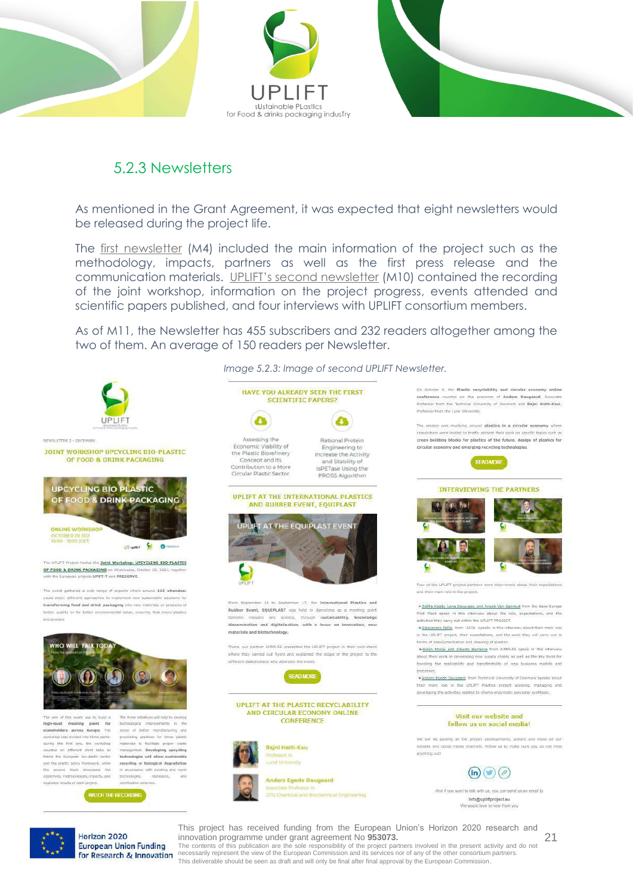

#### <span id="page-20-0"></span>5.2.3 Newsletters

As mentioned in the Grant Agreement, it was expected that eight newsletters would be released during the project life.

The [first newsletter](https://mailchi.mp/eb297738c5ec/d7xgvonp6b-4822406) (M4) included the main information of the project such as the methodology, impacts, partners as well as the first press release and the communication materials. UPLIFT's [second newsletter](https://mailchi.mp/aef3392c39f7/d7xgvonp6b-4900510) (M10) contained the recording of the joint workshop, information on the project progress, events attended and scientific papers published, and four interviews with UPLIFT consortium members.

As of M11, the Newsletter has 455 subscribers and 232 readers altogether among the two of them. An average of 150 readers per Newsletter.



*Image 5.2.3: Image of second UPLIFT Newsletter.* HAVE YOU ALREADY SEEN THE FIRST **SCIENTIFIC PAPERS?**  $\mathbf{c}$  $\bullet$ Assessing the **Dational Dentain** Economic Viability of<br>the Plastic Biorefinery Engineering to<br>Increase the Activity Concept and its and Stability of Contribution to a More sPETase Using the Circular Plastic Sector PROSS Algorithm UPLIFT AT THE INTERNATIONAL PLASTICS AND RUBBER EVENT, EQUIPLAST AT THE EQUIPLAST EVER er 17, the Inte Rubber Event, EQUIPLAST was held in Barcelona as a meeting point and science, through sustain ility, kno dissemination and digitalisation, with a focus on innovation, new materials and biotechnology. There, our partner AIMPLAS presented the UPLIFT project in their own stand where they carried out flyers and explained the scope of the project to the different stakeholders who attended the event UPLIFT AT THE PLASTIC RECYCLABILITY AND CIRCULAR ECONOMY ONLINE CONFERENCE **Raini Hatti-Kau Anders Egede Daugaard** DTU Chemical and Biochemical Engineering

On October 4, the Plastic recyclability and circular economy online conference counted on the presence of Anders Daugaard, Associate<br>Professor from the Technical University of Denmark and Rajni Hattl-Kaul, Professor from the Lund Elstowish

The session was revolving around plastics in a circular economy where researchers were invited to briefly present their work on specific topics such as<br>green building blocks for plastics of the future, design of plastics for .<br>nly and emerging recycling technologies circular econo

**READ MORE** 





and their main role in the protect

>Zsotta Kadár, Lena Decuyper, and Anoek Van Canneyt from Blo Base Eur Pilot Plant speak in this interview about the rale, experiations, and the activities they carry out within the UPLIFT PROJECT.

>Alessandro Pellis, from ACIB speaks in this interview about their main role >ARSSENDED PRIIS, NORT ACLES SPEAKS IN this interview about their main role.<br>In the UPLIFT project, their expectations, and the work they will carry out in<br>terms of depolymerization and deaning of plactics.

> Bolén Monte and Alberto Barranca from AIMPLAS speak in this interview about their work in developing new supply chains as well as the key tools for boosting the replicability and transferability of new business models and

>Anders Egede Daugaard, from Technical University of Denmark speaks about their main role in the UPLIFT Plastics project advising, managing and<br>developing the activities related to chemo-enzymatic polyester synthesis.

#### Visit our website and follow us on social media!

We will be gosting all the protect developments, actions and news on our ebsite and social media channels. Follow us to make sure you do not miss anything put!



And if you want to talk with us, you can send us an email to Info@upliftproject.eu We wa

21

This project has received funding from the European Union's Horizon 2020 research and innovation programme under grant agreement No **953073.**

Horizon 2020 European Union Funding for Research & Innovation

The contents of this publication are the sole responsibility of the project partners involved in the present activity and do not<br>necessarily represent the view of the European Commission and its services nor of any of the This deliverable should be seen as draft and will only be final after final approval by the European Commission.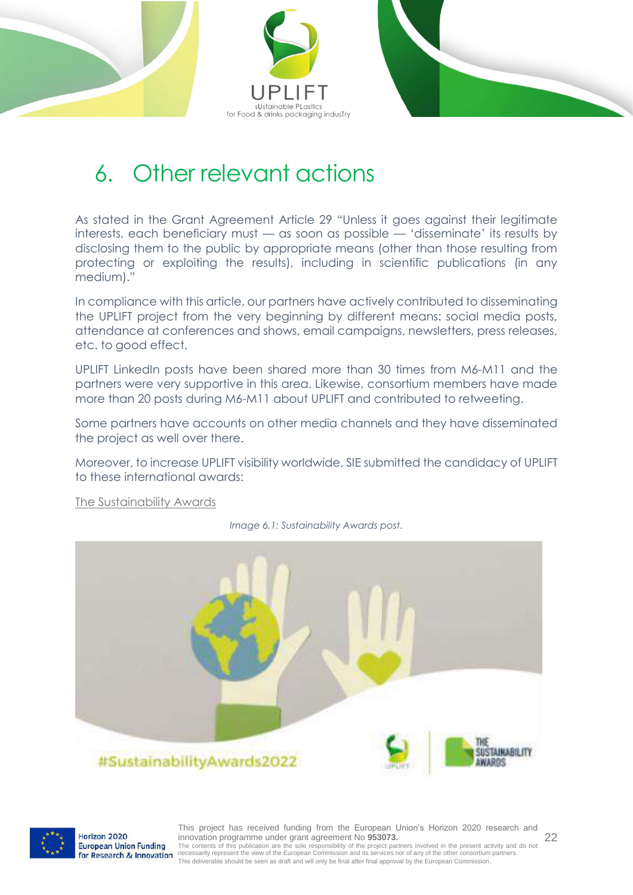



### <span id="page-21-0"></span>6. Other relevant actions

As stated in the Grant Agreement Article 29 "Unless it goes against their legitimate interests, each beneficiary must — as soon as possible — 'disseminate' its results by disclosing them to the public by appropriate means (other than those resulting from protecting or exploiting the results), including in scientific publications (in any medium)."

In compliance with this article, our partners have actively contributed to disseminating the UPLIFT project from the very beginning by different means: social media posts, attendance at conferences and shows, email campaigns, newsletters, press releases, etc. to good effect.

UPLIFT LinkedIn posts have been shared more than 30 times from M6-M11 and the partners were very supportive in this area. Likewise, consortium members have made more than 20 posts during M6-M11 about UPLIFT and contributed to retweeting.

Some partners have accounts on other media channels and they have disseminated the project as well over there.

Moreover, to increase UPLIFT visibility worldwide, SIE submitted the candidacy of UPLIFT to these international awards:

[The Sustainability Awards](https://www.linkedin.com/feed/update/urn:li:activity:6891706445981741056)



*Image 6.1: Sustainability Awards post.*



Horizon 2020 European Union Funding for Research & Innovation

This project has received funding from the European Union's Horizon 2020 research and innovation programme under grant agreement No **953073.** The contents of this publication are the sole responsibility of the project partners involved in the present activity and do not<br>necessarily represent the view of the European Commission and its services nor of any of the This deliverable should be seen as draft and will only be final after final approval by the European Commission.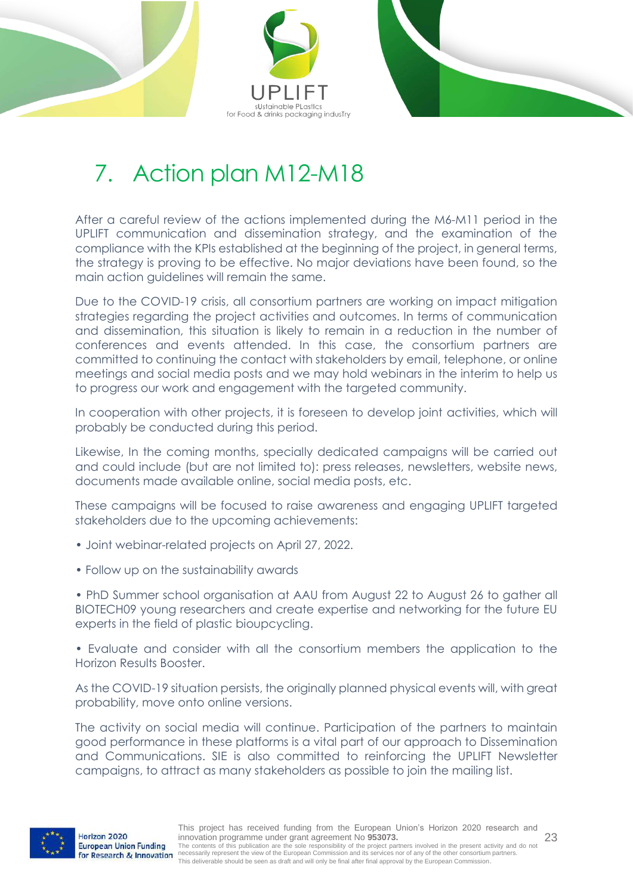



## <span id="page-22-0"></span>7. Action plan M12-M18

After a careful review of the actions implemented during the M6-M11 period in the UPLIFT communication and dissemination strategy, and the examination of the compliance with the KPIs established at the beginning of the project, in general terms, the strategy is proving to be effective. No major deviations have been found, so the main action guidelines will remain the same.

Due to the COVID-19 crisis, all consortium partners are working on impact mitigation strategies regarding the project activities and outcomes. In terms of communication and dissemination, this situation is likely to remain in a reduction in the number of conferences and events attended. In this case, the consortium partners are committed to continuing the contact with stakeholders by email, telephone, or online meetings and social media posts and we may hold webinars in the interim to help us to progress our work and engagement with the targeted community.

In cooperation with other projects, it is foreseen to develop joint activities, which will probably be conducted during this period.

Likewise, In the coming months, specially dedicated campaigns will be carried out and could include (but are not limited to): press releases, newsletters, website news, documents made available online, social media posts, etc.

These campaigns will be focused to raise awareness and engaging UPLIFT targeted stakeholders due to the upcoming achievements:

- Joint webinar-related projects on April 27, 2022.
- Follow up on the sustainability awards

• PhD Summer school organisation at AAU from August 22 to August 26 to gather all BIOTECH09 young researchers and create expertise and networking for the future EU experts in the field of plastic bioupcycling.

• Evaluate and consider with all the consortium members the application to the Horizon Results Booster.

As the COVID-19 situation persists, the originally planned physical events will, with great probability, move onto online versions.

The activity on social media will continue. Participation of the partners to maintain good performance in these platforms is a vital part of our approach to Dissemination and Communications. SIE is also committed to reinforcing the UPLIFT Newsletter campaigns, to attract as many stakeholders as possible to join the mailing list.



23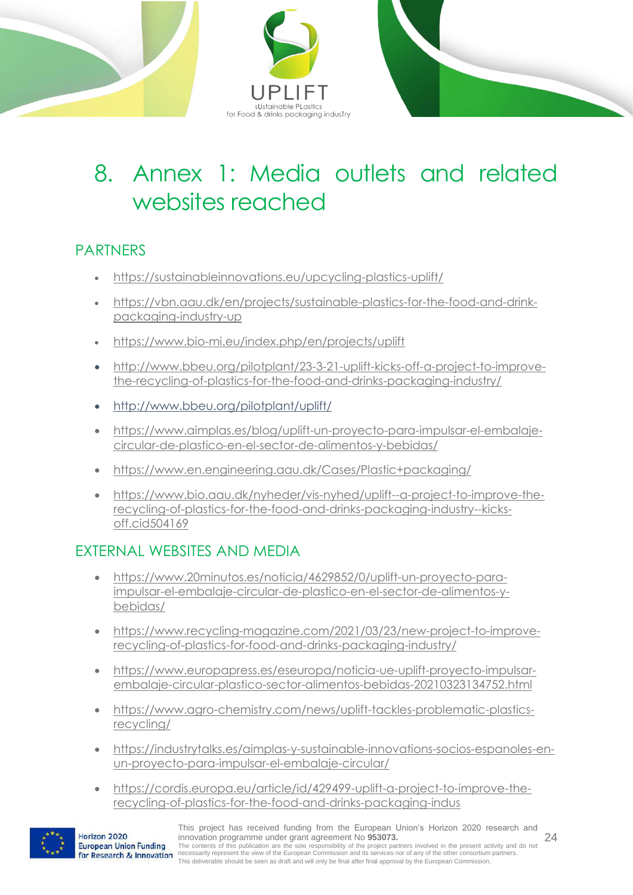

## <span id="page-23-0"></span>8. Annex 1: Media outlets and related websites reached

#### PARTNERS

- <https://sustainableinnovations.eu/upcycling-plastics-uplift/>
- [https://vbn.aau.dk/en/projects/sustainable-plastics-for-the-food-and-drink](https://vbn.aau.dk/en/projects/sustainable-plastics-for-the-food-and-drink-packaging-industry-up)[packaging-industry-up](https://vbn.aau.dk/en/projects/sustainable-plastics-for-the-food-and-drink-packaging-industry-up)
- <https://www.bio-mi.eu/index.php/en/projects/uplift>
- [http://www.bbeu.org/pilotplant/23-3-21-uplift-kicks-off-a-project-to-improve](http://www.bbeu.org/pilotplant/23-3-21-uplift-kicks-off-a-project-to-improve-the-recycling-of-plastics-for-the-food-and-drinks-packaging-industry/)[the-recycling-of-plastics-for-the-food-and-drinks-packaging-industry/](http://www.bbeu.org/pilotplant/23-3-21-uplift-kicks-off-a-project-to-improve-the-recycling-of-plastics-for-the-food-and-drinks-packaging-industry/)
- http://www.bbeu.org/pilotplant/uplift/
- [https://www.aimplas.es/blog/uplift-un-proyecto-para-impulsar-el-embalaje](https://www.aimplas.es/blog/uplift-un-proyecto-para-impulsar-el-embalaje-circular-de-plastico-en-el-sector-de-alimentos-y-bebidas/)[circular-de-plastico-en-el-sector-de-alimentos-y-bebidas/](https://www.aimplas.es/blog/uplift-un-proyecto-para-impulsar-el-embalaje-circular-de-plastico-en-el-sector-de-alimentos-y-bebidas/)
- <https://www.en.engineering.aau.dk/Cases/Plastic+packaging/>
- [https://www.bio.aau.dk/nyheder/vis-nyhed/uplift--a-project-to-improve-the](https://www.bio.aau.dk/nyheder/vis-nyhed/uplift--a-project-to-improve-the-recycling-of-plastics-for-the-food-and-drinks-packaging-industry--kicks-off.cid504169)[recycling-of-plastics-for-the-food-and-drinks-packaging-industry--kicks](https://www.bio.aau.dk/nyheder/vis-nyhed/uplift--a-project-to-improve-the-recycling-of-plastics-for-the-food-and-drinks-packaging-industry--kicks-off.cid504169)[off.cid504169](https://www.bio.aau.dk/nyheder/vis-nyhed/uplift--a-project-to-improve-the-recycling-of-plastics-for-the-food-and-drinks-packaging-industry--kicks-off.cid504169)

### EXTERNAL WEBSITES AND MEDIA

- [https://www.20minutos.es/noticia/4629852/0/uplift-un-proyecto-para](https://www.20minutos.es/noticia/4629852/0/uplift-un-proyecto-para-impulsar-el-embalaje-circular-de-plastico-en-el-sector-de-alimentos-y-bebidas/)[impulsar-el-embalaje-circular-de-plastico-en-el-sector-de-alimentos-y](https://www.20minutos.es/noticia/4629852/0/uplift-un-proyecto-para-impulsar-el-embalaje-circular-de-plastico-en-el-sector-de-alimentos-y-bebidas/)[bebidas/](https://www.20minutos.es/noticia/4629852/0/uplift-un-proyecto-para-impulsar-el-embalaje-circular-de-plastico-en-el-sector-de-alimentos-y-bebidas/)
- [https://www.recycling-magazine.com/2021/03/23/new-project-to-improve](https://www.recycling-magazine.com/2021/03/23/new-project-to-improve-recycling-of-plastics-for-food-and-drinks-packaging-industry/)[recycling-of-plastics-for-food-and-drinks-packaging-industry/](https://www.recycling-magazine.com/2021/03/23/new-project-to-improve-recycling-of-plastics-for-food-and-drinks-packaging-industry/)
- [https://www.europapress.es/eseuropa/noticia-ue-uplift-proyecto-impulsar](https://www.europapress.es/eseuropa/noticia-ue-uplift-proyecto-impulsar-embalaje-circular-plastico-sector-alimentos-bebidas-20210323134752.html)[embalaje-circular-plastico-sector-alimentos-bebidas-20210323134752.html](https://www.europapress.es/eseuropa/noticia-ue-uplift-proyecto-impulsar-embalaje-circular-plastico-sector-alimentos-bebidas-20210323134752.html)
- [https://www.agro-chemistry.com/news/uplift-tackles-problematic-plastics](https://www.agro-chemistry.com/news/uplift-tackles-problematic-plastics-recycling/)[recycling/](https://www.agro-chemistry.com/news/uplift-tackles-problematic-plastics-recycling/)
- [https://industrytalks.es/aimplas-y-sustainable-innovations-socios-espanoles-en](https://industrytalks.es/aimplas-y-sustainable-innovations-socios-espanoles-en-un-proyecto-para-impulsar-el-embalaje-circular/)[un-proyecto-para-impulsar-el-embalaje-circular/](https://industrytalks.es/aimplas-y-sustainable-innovations-socios-espanoles-en-un-proyecto-para-impulsar-el-embalaje-circular/)
- [https://cordis.europa.eu/article/id/429499-uplift-a-project-to-improve-the](https://cordis.europa.eu/article/id/429499-uplift-a-project-to-improve-the-recycling-of-plastics-for-the-food-and-drinks-packaging-indus)[recycling-of-plastics-for-the-food-and-drinks-packaging-indus](https://cordis.europa.eu/article/id/429499-uplift-a-project-to-improve-the-recycling-of-plastics-for-the-food-and-drinks-packaging-indus)



Horizon 2020

European Union Funding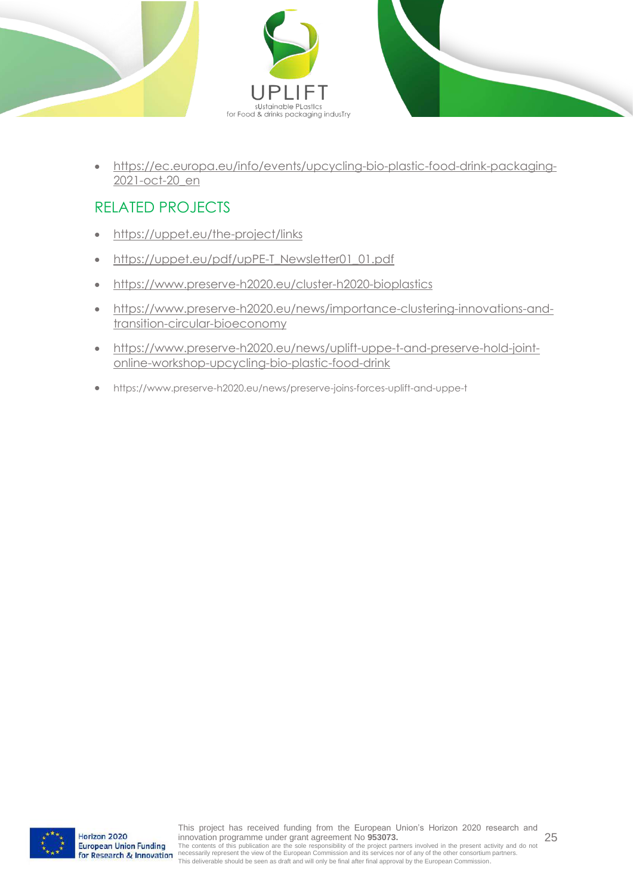

- 
- [https://ec.europa.eu/info/events/upcycling-bio-plastic-food-drink-packaging-](https://ec.europa.eu/info/events/upcycling-bio-plastic-food-drink-packaging-2021-oct-20_en)[2021-oct-20\\_en](https://ec.europa.eu/info/events/upcycling-bio-plastic-food-drink-packaging-2021-oct-20_en)

### RELATED PROJECTS

- <https://uppet.eu/the-project/links>
- [https://uppet.eu/pdf/upPE-T\\_Newsletter01\\_01.pdf](https://uppet.eu/pdf/upPE-T_Newsletter01_01.pdf)
- <https://www.preserve-h2020.eu/cluster-h2020-bioplastics>
- [https://www.preserve-h2020.eu/news/importance-clustering-innovations-and](https://www.preserve-h2020.eu/news/importance-clustering-innovations-and-transition-circular-bioeconomy)[transition-circular-bioeconomy](https://www.preserve-h2020.eu/news/importance-clustering-innovations-and-transition-circular-bioeconomy)
- [https://www.preserve-h2020.eu/news/uplift-uppe-t-and-preserve-hold-joint](https://www.preserve-h2020.eu/news/uplift-uppe-t-and-preserve-hold-joint-online-workshop-upcycling-bio-plastic-food-drink)[online-workshop-upcycling-bio-plastic-food-drink](https://www.preserve-h2020.eu/news/uplift-uppe-t-and-preserve-hold-joint-online-workshop-upcycling-bio-plastic-food-drink)
- https://www.preserve-h2020.eu/news/preserve-joins-forces-uplift-and-uppe-t

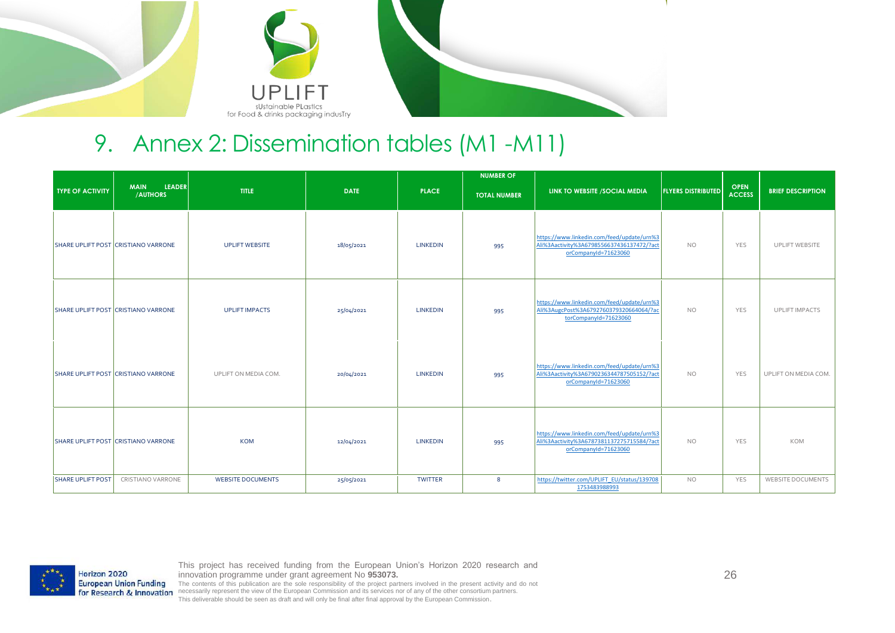

### 9. Annex 2: Dissemination tables (M1 -M11)

|                          |                                            |                          |             |                 | <b>NUMBER OF</b>    |                                                                                                                 |                           |                              |                          |
|--------------------------|--------------------------------------------|--------------------------|-------------|-----------------|---------------------|-----------------------------------------------------------------------------------------------------------------|---------------------------|------------------------------|--------------------------|
| <b>TYPE OF ACTIVITY</b>  | <b>LEADER</b><br><b>MAIN</b><br>/AUTHORS   | <b>TITLE</b>             | <b>DATE</b> | <b>PLACE</b>    | <b>TOTAL NUMBER</b> | LINK TO WEBSITE / SOCIAL MEDIA                                                                                  | <b>FLYERS DISTRIBUTED</b> | <b>OPEN</b><br><b>ACCESS</b> | <b>BRIEF DESCRIPTION</b> |
|                          | SHARE UPLIFT POST CRISTIANO VARRONE        | <b>UPLIFT WEBSITE</b>    | 18/05/2021  | <b>LINKEDIN</b> | 995                 | https://www.linkedin.com/feed/update/urn%3<br>Ali%3Aactivity%3A6798556637436137472/?act<br>orCompanyId=71623060 | <b>NO</b>                 | YES                          | <b>UPLIFT WEBSITE</b>    |
|                          | <b>SHARE UPLIFT POST CRISTIANO VARRONE</b> | <b>UPLIFT IMPACTS</b>    | 25/04/2021  | <b>LINKEDIN</b> | 995                 | https://www.linkedin.com/feed/update/urn%3<br>Ali%3AugcPost%3A6792760379320664064/?ac<br>torCompanyId=71623060  | <b>NO</b>                 | YES                          | <b>UPLIFT IMPACTS</b>    |
|                          | SHARE UPLIFT POST CRISTIANO VARRONE        | UPLIFT ON MEDIA COM.     | 20/04/2021  | <b>LINKEDIN</b> | 995                 | https://www.linkedin.com/feed/update/urn%3<br>Ali%3Aactivity%3A6790236344787505152/?act<br>orCompanyId=71623060 | <b>NO</b>                 | YES                          | UPLIFT ON MEDIA COM.     |
|                          | SHARE UPLIFT POST CRISTIANO VARRONE        | <b>KOM</b>               | 12/04/2021  | <b>LINKEDIN</b> | 995                 | https://www.linkedin.com/feed/update/urn%3<br>Ali%3Aactivity%3A6787381137275715584/?act<br>orCompanyId=71623060 | <b>NO</b>                 | YES                          | KOM                      |
| <b>SHARE UPLIFT POST</b> | CRISTIANO VARRONE                          | <b>WEBSITE DOCUMENTS</b> | 25/05/2021  | <b>TWITTER</b>  | 8                   | https://twitter.com/UPLIFT_EU/status/139708<br>1753483988993                                                    | <b>NO</b>                 | YES                          | <b>WEBSITE DOCUMENTS</b> |

<span id="page-25-0"></span>

This project has received funding from the European Union's Horizon 2020 research and innovation programme under grant agreement No **953073.** The contents of this publication are the sole responsibility of the project partners involved in the present activity and do not

for Research & Innovation necessarily represent the view of the European Commission and its services nor of any of the other consortium partners. This deliverable should be seen as draft and will only be final after final approval by the European Commission.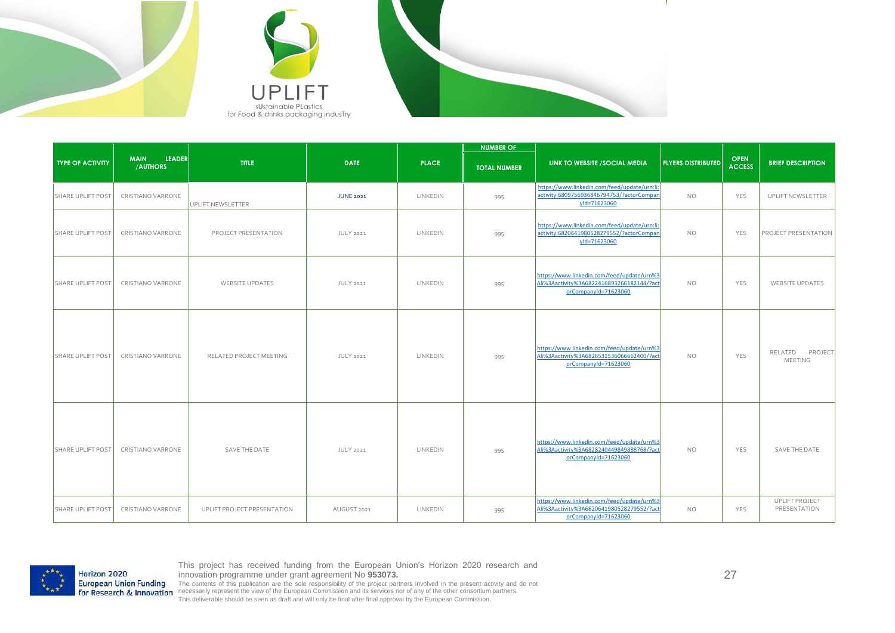





| <b>TYPE OF ACTIVITY</b>  | <b>LEADER</b><br><b>MAIN</b><br>/AUTHORS | <b>TITLE</b>                | <b>DATE</b>      | <b>PLACE</b> | <b>NUMBER OF</b><br><b>TOTAL NUMBER</b> | LINK TO WEBSITE / SOCIAL MEDIA                                                                                  | <b>FLYERS DISTRIBUTED</b> | <b>OPEN</b><br><b>ACCESS</b> | <b>BRIEF DESCRIPTION</b>             |
|--------------------------|------------------------------------------|-----------------------------|------------------|--------------|-----------------------------------------|-----------------------------------------------------------------------------------------------------------------|---------------------------|------------------------------|--------------------------------------|
| SHARE UPLIFT POST        | CRISTIANO VARRONE                        | UPLIFT NEWSLETTER           | <b>JUNE 2021</b> | LINKEDIN     | 995                                     | https://www.linkedin.com/feed/update/urn:li:<br>activity:6809756936846794753/?actorCompan<br>yld=71623060       | <b>NO</b>                 | YES                          | UPLIFT NEWSLETTER                    |
| SHARE UPLIFT POST        | CRISTIANO VARRONE                        | PROJECT PRESENTATION        | <b>JULY 2021</b> | LINKEDIN     | 995                                     | https://www.linkedin.com/feed/update/urn:li:<br>activity:6820641980528279552/?actorCompan<br>yld=71623060       | <b>NO</b>                 | YES                          | <b>PROJECT PRESENTATION</b>          |
| <b>SHARE UPLIFT POST</b> | <b>CRISTIANO VARRONE</b>                 | <b>WEBSITE UPDATES</b>      | JULY 2021        | LINKEDIN     | 995                                     | https://www.linkedin.com/feed/update/urn%3<br>Ali%3Aactivity%3A6822416893266182144/?act<br>orCompanyId=71623060 | <b>NO</b>                 | YES                          | <b>WEBSITE UPDATES</b>               |
| <b>SHARE UPLIFT POST</b> | CRISTIANO VARRONE                        | RELATED PROJECT MEETING     | JULY 2021        | LINKEDIN     | 995                                     | https://www.linkedin.com/feed/update/urn%3<br>Ali%3Aactivity%3A6826531536066662400/?act<br>orCompanyId=71623060 | <b>NO</b>                 | <b>YES</b>                   | RELATED<br>PROJECT<br><b>MEETING</b> |
| <b>SHARE UPLIFT POST</b> | CRISTIANO VARRONE                        | <b>SAVE THE DATE</b>        | <b>JULY 2021</b> | LINKEDIN     | 995                                     | https://www.linkedin.com/feed/update/urn%3<br>Ali%3Aactivity%3A6828240449849888768/?act<br>orCompanyId=71623060 | <b>NO</b>                 | YES                          | SAVE THE DATE                        |
| <b>SHARE UPLIFT POST</b> | CRISTIANO VARRONE                        | UPLIFT PROJECT PRESENTATION | AUGUST 2021      | LINKEDIN     | 995                                     | https://www.linkedin.com/feed/update/urn%3<br>Ali%3Aactivity%3A6820641980528279552/?act<br>orCompanyId=71623060 | <b>NO</b>                 | YES                          | UPLIFT PROJECT<br>PRESENTATION       |



27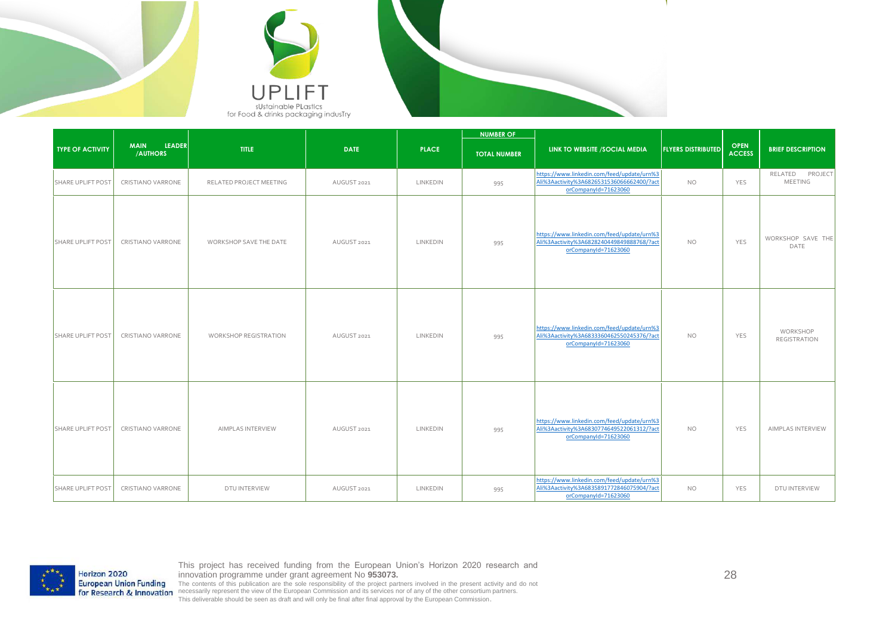



|                          |                                          |                              |             |              | <b>NUMBER OF</b>    |                                                                                                                 |                           |                              |                                   |
|--------------------------|------------------------------------------|------------------------------|-------------|--------------|---------------------|-----------------------------------------------------------------------------------------------------------------|---------------------------|------------------------------|-----------------------------------|
| <b>TYPE OF ACTIVITY</b>  | <b>MAIN</b><br><b>LEADER</b><br>/AUTHORS | TITLE                        | <b>DATE</b> | <b>PLACE</b> | <b>TOTAL NUMBER</b> | LINK TO WEBSITE / SOCIAL MEDIA                                                                                  | <b>FLYERS DISTRIBUTED</b> | <b>OPEN</b><br><b>ACCESS</b> | <b>BRIEF DESCRIPTION</b>          |
| SHARE UPLIFT POST        | CRISTIANO VARRONE                        | RELATED PROJECT MEETING      | AUGUST 2021 | LINKEDIN     | 995                 | https://www.linkedin.com/feed/update/urn%3<br>Ali%3Aactivity%3A6826531536066662400/?act<br>orCompanyId=71623060 | <b>NO</b>                 | YES                          | RELATED PROJECT<br><b>MEETING</b> |
| SHARE UPLIFT POST        | CRISTIANO VARRONE                        | WORKSHOP SAVE THE DATE       | AUGUST 2021 | LINKEDIN     | 995                 | https://www.linkedin.com/feed/update/urn%3<br>Ali%3Aactivity%3A6828240449849888768/?act<br>orCompanyId=71623060 | <b>NO</b>                 | YES                          | WORKSHOP SAVE THE<br>DATE         |
| <b>SHARE UPLIFT POST</b> | CRISTIANO VARRONE                        | <b>WORKSHOP REGISTRATION</b> | AUGUST 2021 | LINKEDIN     | 995                 | https://www.linkedin.com/feed/update/urn%3<br>Ali%3Aactivity%3A6833360462550245376/?act<br>orCompanyId=71623060 | <b>NO</b>                 | YES                          | WORKSHOP<br><b>REGISTRATION</b>   |
| <b>SHARE UPLIFT POST</b> | CRISTIANO VARRONE                        | AIMPLAS INTERVIEW            | AUGUST 2021 | LINKEDIN     | 995                 | https://www.linkedin.com/feed/update/urn%3<br>Ali%3Aactivity%3A6830774649522061312/?act<br>orCompanyId=71623060 | <b>NO</b>                 | YES                          | AIMPLAS INTERVIEW                 |
| <b>SHARE UPLIFT POST</b> | CRISTIANO VARRONE                        | DTU INTERVIEW                | AUGUST 2021 | LINKEDIN     | 995                 | https://www.linkedin.com/feed/update/urn%3<br>Ali%3Aactivity%3A6835891772846075904/?act<br>orCompanyId=71623060 | <b>NO</b>                 | YES                          | DTU INTERVIEW                     |



28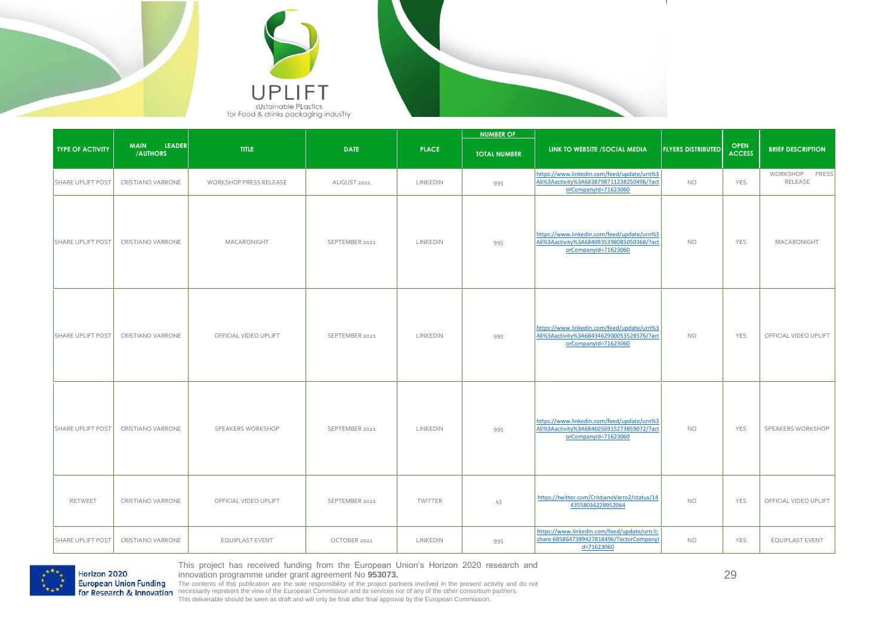



|                          |                                          |                        |                |              | <b>NUMBER OF</b>    |                                                                                                                 |                           |                              |                              |
|--------------------------|------------------------------------------|------------------------|----------------|--------------|---------------------|-----------------------------------------------------------------------------------------------------------------|---------------------------|------------------------------|------------------------------|
| <b>TYPE OF ACTIVITY</b>  | <b>LEADER</b><br><b>MAIN</b><br>/AUTHORS | <b>TITLE</b>           | <b>DATE</b>    | <b>PLACE</b> | <b>TOTAL NUMBER</b> | LINK TO WEBSITE / SOCIAL MEDIA                                                                                  | <b>FLYERS DISTRIBUTED</b> | <b>OPEN</b><br><b>ACCESS</b> | <b>BRIEF DESCRIPTION</b>     |
| <b>SHARE UPLIFT POST</b> | CRISTIANO VARRONE                        | WORKSHOP PRESS RELEASE | AUGUST 2021    | LINKEDIN     | 995                 | https://www.linkedin.com/feed/update/urn%3<br>Ali%3Aactivity%3A6838798711238250496/?act<br>orCompanyId=71623060 | <b>NO</b>                 | YES                          | WORKSHOP<br>PRESS<br>RELEASE |
| <b>SHARE UPLIFT POST</b> | CRISTIANO VARRONE                        | MACARONIGHT            | SEPTEMBER 2021 | LINKEDIN     | 995                 | https://www.linkedin.com/feed/update/urn%3<br>Ali%3Aactivity%3A6840935398085050368/?act<br>orCompanyId=71623060 | <b>NO</b>                 | YES                          | MACARONIGHT                  |
| SHARE UPLIFT POST        | CRISTIANO VARRONE                        | OFFICIAL VIDEO UPLIFT  | SEPTEMBER 2021 | LINKEDIN     | 995                 | https://www.linkedin.com/feed/update/urn%3<br>Ali%3Aactivity%3A6843462900053528576/?act<br>orCompanyId=71623060 | <b>NO</b>                 | YES                          | OFFICIAL VIDEO UPLIFT        |
| <b>SHARE UPLIFT POST</b> | CRISTIANO VARRONE                        | SPEAKERS WORKSHOP      | SEPTEMBER 2021 | LINKEDIN     | 995                 | https://www.linkedin.com/feed/update/urn%3<br>Ali%3Aactivity%3A6846056915273859072/?act<br>orCompanyId=71623060 | <b>NO</b>                 | YES                          | SPEAKERS WORKSHOP            |
| RETWEET                  | CRISTIANO VARRONE                        | OFFICIAL VIDEO UPLIFT  | SEPTEMBER 2021 | TWITTER      | 43                  | https://twitter.com/CristianoVarro2/status/14<br>43558036228952064                                              | <b>NO</b>                 | YES                          | OFFICIAL VIDEO UPLIFT        |
| SHARE UPLIFT POST        | CRISTIANO VARRONE                        | <b>EQUIPLAST EVENT</b> | OCTOBER 2021   | LINKEDIN     | 995                 | https://www.linkedin.com/feed/update/urn:li:<br>share:6858647389427818496/?actorCompanyl<br>d=71623060          | <b>NO</b>                 | YES                          | EQUIPLAST EVENT              |



This project has received funding from the European Union's Horizon 2020 research and

29

innovation programme under grant agreement No 953073.<br>The contents of this publication are the sole responsibility of the project partners involved in the present activity and do not<br>necessarily represent the view of the E This deliverable should be seen as draft and will only be final after final approval by the European Commission.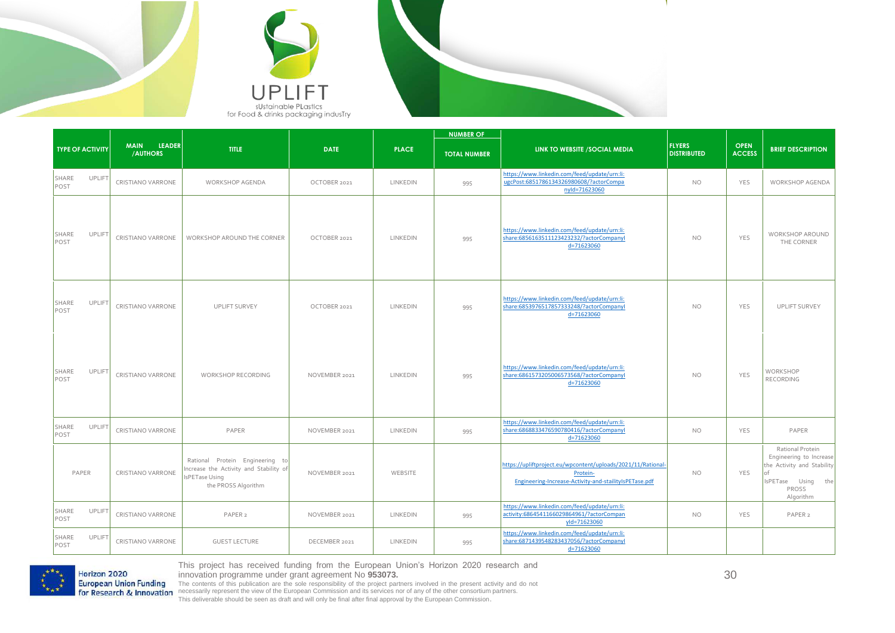



|                                |                                          |                                                                                                                    |               |              | <b>NUMBER OF</b>    |                                                                                                                                    |                                     |                              |                                                                                                                       |
|--------------------------------|------------------------------------------|--------------------------------------------------------------------------------------------------------------------|---------------|--------------|---------------------|------------------------------------------------------------------------------------------------------------------------------------|-------------------------------------|------------------------------|-----------------------------------------------------------------------------------------------------------------------|
| <b>TYPE OF ACTIVITY</b>        | <b>MAIN</b><br><b>LEADER</b><br>/AUTHORS | <b>TITLE</b>                                                                                                       | <b>DATE</b>   | <b>PLACE</b> | <b>TOTAL NUMBER</b> | LINK TO WEBSITE /SOCIAL MEDIA                                                                                                      | <b>FLYERS</b><br><b>DISTRIBUTED</b> | <b>OPEN</b><br><b>ACCESS</b> | <b>BRIEF DESCRIPTION</b>                                                                                              |
| <b>UPLIFT</b><br>SHARE<br>POST | CRISTIANO VARRONE                        | <b>WORKSHOP AGENDA</b>                                                                                             | OCTOBER 2021  | LINKEDIN     | 995                 | https://www.linkedin.com/feed/update/urn:li:<br>ugcPost:6851786134326980608/?actorCompa<br>nyld=71623060                           | <b>NO</b>                           | <b>YES</b>                   | WORKSHOP AGENDA                                                                                                       |
| UPLIFT<br>SHARE<br>POST        | CRISTIANO VARRONE                        | WORKSHOP AROUND THE CORNER                                                                                         | OCTOBER 2021  | LINKEDIN     | 995                 | https://www.linkedin.com/feed/update/urn:li:<br>share:6856163511123423232/?actorCompanyl<br>d=71623060                             | <b>NO</b>                           | <b>YES</b>                   | <b>WORKSHOP AROUND</b><br>THE CORNER                                                                                  |
| UPLIFT<br>SHARE<br>POST        | CRISTIANO VARRONE                        | <b>UPLIFT SURVEY</b>                                                                                               | OCTOBER 2021  | LINKEDIN     | 995                 | https://www.linkedin.com/feed/update/urn:li:<br>share:6853976517857333248/?actorCompanyl<br>d=71623060                             | <b>NO</b>                           | <b>YES</b>                   | <b>UPLIFT SURVEY</b>                                                                                                  |
| <b>UPLIFT</b><br>SHARE<br>POST | CRISTIANO VARRONE                        | WORKSHOP RECORDING                                                                                                 | NOVEMBER 2021 | LINKEDIN     | 995                 | https://www.linkedin.com/feed/update/urn:li:<br>share:6861573205006573568/?actorCompanyl<br>d=71623060                             | <b>NO</b>                           | <b>YES</b>                   | WORKSHOP<br>RECORDING                                                                                                 |
| <b>UPLIFT</b><br>SHARE<br>POST | CRISTIANO VARRONE                        | PAPER                                                                                                              | NOVEMBER 2021 | LINKEDIN     | 995                 | https://www.linkedin.com/feed/update/urn:li:<br>share:6868833476590780416/?actorCompanyl<br>d=71623060                             | <b>NO</b>                           | <b>YES</b>                   | PAPER                                                                                                                 |
| PAPER                          | CRISTIANO VARRONE                        | Rational Protein Engineering to<br>Increase the Activity and Stability of<br>IsPETase Using<br>the PROSS Algorithm | NOVEMBER 2021 | WEBSITE      |                     | https://upliftproject.eu/wpcontent/uploads/2021/11/Rational-<br>Protein-<br>Engineering-Increase-Activity-and-stailityIsPETase.pdf | <b>NO</b>                           | <b>YES</b>                   | Rational Protein<br>Engineering to Increase<br>the Activity and Stability<br>IsPETase Using the<br>PROSS<br>Algorithm |
| UPLIFT<br>SHARE<br>POST        | CRISTIANO VARRONE                        | PAPER <sub>2</sub>                                                                                                 | NOVEMBER 2021 | LINKEDIN     | 995                 | https://www.linkedin.com/feed/update/urn:li:<br>activity:6864541166029864961/?actorCompan<br>yld=71623060                          | <b>NO</b>                           | <b>YES</b>                   | PAPER <sub>2</sub>                                                                                                    |
| <b>UPLIFT</b><br>SHARE<br>POST | CRISTIANO VARRONE                        | <b>GUEST LECTURE</b>                                                                                               | DECEMBER 2021 | LINKEDIN     | 995                 | https://www.linkedin.com/feed/update/urn:li:<br>share:6871439548283437056/?actorCompanyl<br>d=71623060                             |                                     |                              |                                                                                                                       |

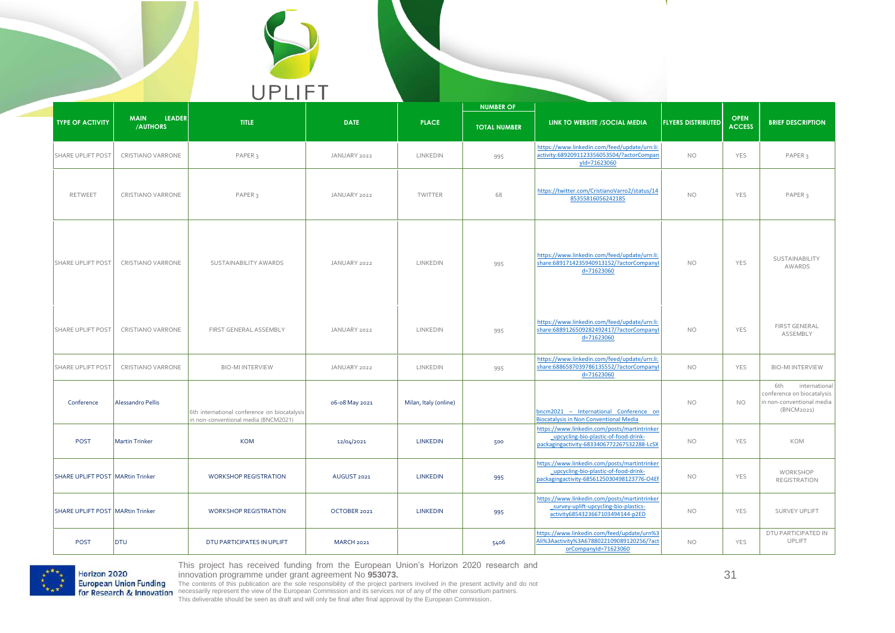

|                                         | <b>MAIN</b><br><b>LEADER</b> |                                                                                      |                   |                       | <b>NUMBER OF</b>    |                                                                                                                                    |                           |                              |                                                                                               |
|-----------------------------------------|------------------------------|--------------------------------------------------------------------------------------|-------------------|-----------------------|---------------------|------------------------------------------------------------------------------------------------------------------------------------|---------------------------|------------------------------|-----------------------------------------------------------------------------------------------|
| <b>TYPE OF ACTIVITY</b>                 | /AUTHORS                     | <b>TITLE</b>                                                                         | <b>DATE</b>       | <b>PLACE</b>          | <b>TOTAL NUMBER</b> | LINK TO WEBSITE / SOCIAL MEDIA                                                                                                     | <b>FLYERS DISTRIBUTED</b> | <b>OPEN</b><br><b>ACCESS</b> | <b>BRIEF DESCRIPTION</b>                                                                      |
| <b>SHARE UPLIFT POST</b>                | CRISTIANO VARRONE            | PAPER <sub>3</sub>                                                                   | JANUARY 2022      | LINKEDIN              | 995                 | https://www.linkedin.com/feed/update/urn:li:<br>activity:6892091123356053504/?actorCompan<br>yld=71623060                          | <b>NO</b>                 | <b>YES</b>                   | PAPER <sub>3</sub>                                                                            |
| RETWEET                                 | CRISTIANO VARRONE            | PAPER <sub>3</sub>                                                                   | JANUARY 2022      | TWITTER               | 68                  | https://twitter.com/CristianoVarro2/status/14<br>85355816056242185                                                                 | <b>NO</b>                 | YES                          | PAPER <sub>3</sub>                                                                            |
| <b>SHARE UPLIFT POST</b>                | CRISTIANO VARRONE            | SUSTAINABILITY AWARDS                                                                | JANUARY 2022      | LINKEDIN              | 995                 | https://www.linkedin.com/feed/update/urn:li:<br>share:6891714235940913152/?actorCompanyl<br>d=71623060                             | <b>NO</b>                 | YES                          | SUSTAINABILITY<br>AWARDS                                                                      |
| <b>SHARE UPLIFT POST</b>                | <b>CRISTIANO VARRONE</b>     | FIRST GENERAL ASSEMBLY                                                               | JANUARY 2022      | LINKEDIN              | 995                 | https://www.linkedin.com/feed/update/urn:li:<br>share:6889126509282492417/?actorCompanyl<br>d=71623060                             | <b>NO</b>                 | <b>YES</b>                   | <b>FIRST GENERAL</b><br>ASSEMBLY                                                              |
| <b>SHARE UPLIFT POST</b>                | CRISTIANO VARRONE            | <b>BIO-MI INTERVIEW</b>                                                              | JANUARY 2022      | LINKEDIN              | 995                 | https://www.linkedin.com/feed/update/urn:li:<br>share:6886587039786135552/?actorCompanyl<br>d=71623060                             | <b>NO</b>                 | YES                          | <b>BIO-MI INTERVIEW</b>                                                                       |
| Conference                              | <b>Alessandro Pellis</b>     | 6th international conference on biocatalysis<br>in non-conventional media (BNCM2021) | 06-08 May 2021    | Milan, Italy (online) |                     | bncm2021 - International Conference on<br><b>Biocatalysis in Non Conventional Media</b>                                            | <b>NO</b>                 | <b>NO</b>                    | 6th<br>international<br>conference on biocatalysis<br>in non-conventional media<br>(BNCM2021) |
| POST                                    | <b>Martin Trinker</b>        | <b>KOM</b>                                                                           | 12/04/2021        | <b>LINKEDIN</b>       | 500                 | https://www.linkedin.com/posts/martintrinker<br>upcycling-bio-plastic-of-food-drink-<br>packagingactivity-6833406772267532288-LcSX | <b>NO</b>                 | YES                          | KOM                                                                                           |
| <b>SHARE UPLIFT POST MARtin Trinker</b> |                              | <b>WORKSHOP REGISTRATION</b>                                                         | AUGUST 2021       | <b>LINKEDIN</b>       | 995                 | https://www.linkedin.com/posts/martintrinker<br>upcycling-bio-plastic-of-food-drink-<br>packagingactivity-6856125030498123776-O4Ef | NO.                       | <b>YES</b>                   | WORKSHOP<br><b>REGISTRATION</b>                                                               |
| <b>SHARE UPLIFT POST MARtin Trinker</b> |                              | <b>WORKSHOP REGISTRATION</b>                                                         | OCTOBER 2021      | <b>LINKEDIN</b>       | 995                 | https://www.linkedin.com/posts/martintrinker<br>survey-uplift-upcycling-bio-plastics-<br>activity6854323667103494144-p2ED          | NO.                       | <b>YES</b>                   | <b>SURVEY UPLIFT</b>                                                                          |
| <b>POST</b>                             | <b>DTU</b>                   | DTU PARTICIPATES IN UPLIFT                                                           | <b>MARCH 2021</b> |                       | 5406                | https://www.linkedin.com/feed/update/urn%3<br>Ali%3Aactivity%3A6788022109089120256/?act<br>orCompanyId=71623060                    | <b>NO</b>                 | YES                          | DTU PARTICIPATED IN<br>UPLIFT                                                                 |



This project has received funding from the European Union's Horizon 2020 research and

innovation programme under grant agreement No 953073.<br>The contents of this publication are the sole responsibility of the project partners involved in the present activity and do not<br>necessarily represent the view of the E This deliverable should be seen as draft and will only be final after final approval by the European Commission.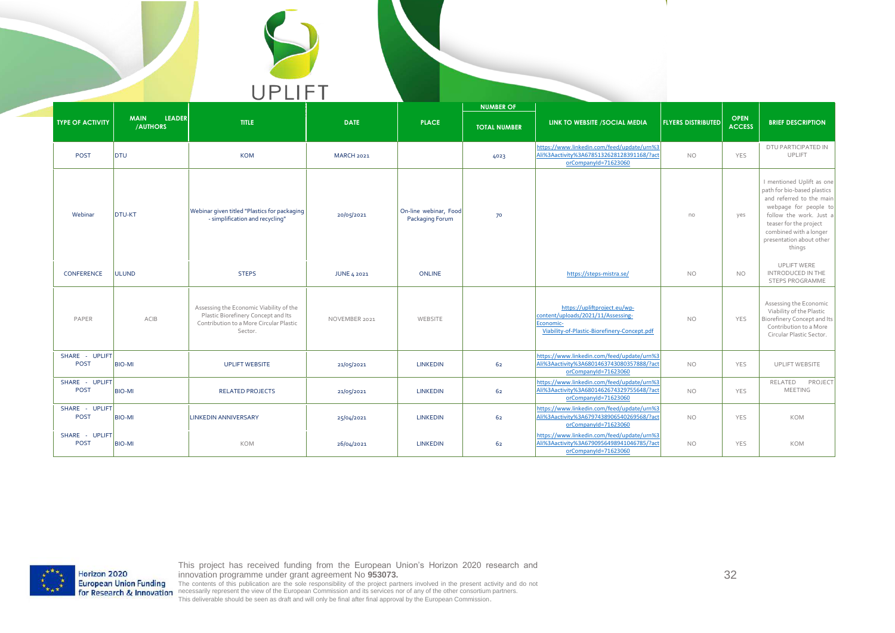

|                               |                                          |                                                                                                                                      |                    |                                          | <b>NUMBER OF</b>    |                                                                                                                                 |                           |                              |                                                                                                                                                                                                                                    |
|-------------------------------|------------------------------------------|--------------------------------------------------------------------------------------------------------------------------------------|--------------------|------------------------------------------|---------------------|---------------------------------------------------------------------------------------------------------------------------------|---------------------------|------------------------------|------------------------------------------------------------------------------------------------------------------------------------------------------------------------------------------------------------------------------------|
| <b>TYPE OF ACTIVITY</b>       | <b>LEADER</b><br><b>MAIN</b><br>/AUTHORS | TITLE                                                                                                                                | <b>DATE</b>        | <b>PLACE</b>                             | <b>TOTAL NUMBER</b> | LINK TO WEBSITE /SOCIAL MEDIA                                                                                                   | <b>FLYERS DISTRIBUTED</b> | <b>OPEN</b><br><b>ACCESS</b> | <b>BRIEF DESCRIPTION</b>                                                                                                                                                                                                           |
| POST                          | DTU                                      | <b>KOM</b>                                                                                                                           | <b>MARCH 2021</b>  |                                          | 4023                | https://www.linkedin.com/feed/update/urn%3<br>Ali%3Aactivity%3A6785132628128391168/?act<br>orCompanyId=71623060                 | <b>NO</b>                 | <b>YES</b>                   | DTU PARTICIPATED IN<br>UPLIFT                                                                                                                                                                                                      |
| Webinar                       | <b>DTU-KT</b>                            | Webinar given titled "Plastics for packaging<br>- simplification and recycling"                                                      | 20/05/2021         | On-line webinar, Food<br>Packaging Forum | 70                  |                                                                                                                                 | no                        | yes                          | I mentioned Uplift as one<br>path for bio-based plastics<br>and referred to the main<br>webpage for people to<br>follow the work. Just a<br>teaser for the project<br>combined with a longer<br>presentation about other<br>things |
| CONFERENCE                    | <b>ULUND</b>                             | <b>STEPS</b>                                                                                                                         | <b>JUNE 4 2021</b> | <b>ONLINE</b>                            |                     | https://steps-mistra.se/                                                                                                        | <b>NO</b>                 | <b>NO</b>                    | <b>UPLIFT WERE</b><br>INTRODUCED IN THE<br>STEPS PROGRAMME                                                                                                                                                                         |
| PAPER                         | ACIB                                     | Assessing the Economic Viability of the<br>Plastic Biorefinery Concept and Its<br>Contribution to a More Circular Plastic<br>Sector. | NOVEMBER 2021      | WEBSITE                                  |                     | https://upliftproject.eu/wp-<br>content/uploads/2021/11/Assessing-<br>Economic-<br>Viability-of-Plastic-Biorefinery-Concept.pdf | <b>NO</b>                 | YES                          | Assessing the Economic<br>Viability of the Plastic<br><b>Biorefinery Concept and Its</b><br>Contribution to a More<br>Circular Plastic Sector.                                                                                     |
| SHARE - UPLIFT<br>POST        | <b>BIO-MI</b>                            | <b>UPLIFT WEBSITE</b>                                                                                                                | 21/05/2021         | <b>LINKEDIN</b>                          | 62                  | https://www.linkedin.com/feed/update/urn%3<br>Ali%3Aactivity%3A6801463743080357888/?act<br>orCompanyId=71623060                 | <b>NO</b>                 | YES                          | UPLIFT WEBSITE                                                                                                                                                                                                                     |
| SHARE - UPLIFT<br><b>POST</b> | <b>BIO-MI</b>                            | <b>RELATED PROJECTS</b>                                                                                                              | 21/05/2021         | <b>LINKEDIN</b>                          | 62                  | https://www.linkedin.com/feed/update/urn%3<br>Ali%3Aactivity%3A6801462674329755648/?act<br>orCompanyId=71623060                 | <b>NO</b>                 | YES                          | PROJECT<br>RELATED<br><b>MEETING</b>                                                                                                                                                                                               |
| SHARE - UPLIFT<br><b>POST</b> | <b>BIO-MI</b>                            | <b>LINKEDIN ANNIVERSARY</b>                                                                                                          | 25/04/2021         | <b>LINKEDIN</b>                          | 62                  | https://www.linkedin.com/feed/update/urn%3<br>Ali%3Aactivity%3A6797438906540269568/?act<br>orCompanyId=71623060                 | <b>NO</b>                 | YES                          | <b>KOM</b>                                                                                                                                                                                                                         |
| SHARE - UPLIFT<br>POST        | <b>BIO-MI</b>                            | KOM                                                                                                                                  | 26/04/2021         | <b>LINKEDIN</b>                          | 62                  | https://www.linkedin.com/feed/update/urn%3<br>Ali%3Aactivity%3A6790956498941046785/?act<br>orCompanyId=71623060                 | <b>NO</b>                 | YES                          | <b>KOM</b>                                                                                                                                                                                                                         |



This project has received funding from the European Union's Horizon 2020 research and

innovation programme under grant agreement No 953073.<br>The contents of this publication are the sole responsibility of the project partners involved in the present activity and do not<br>necessarily represent the view of the E This deliverable should be seen as draft and will only be final after final approval by the European Commission.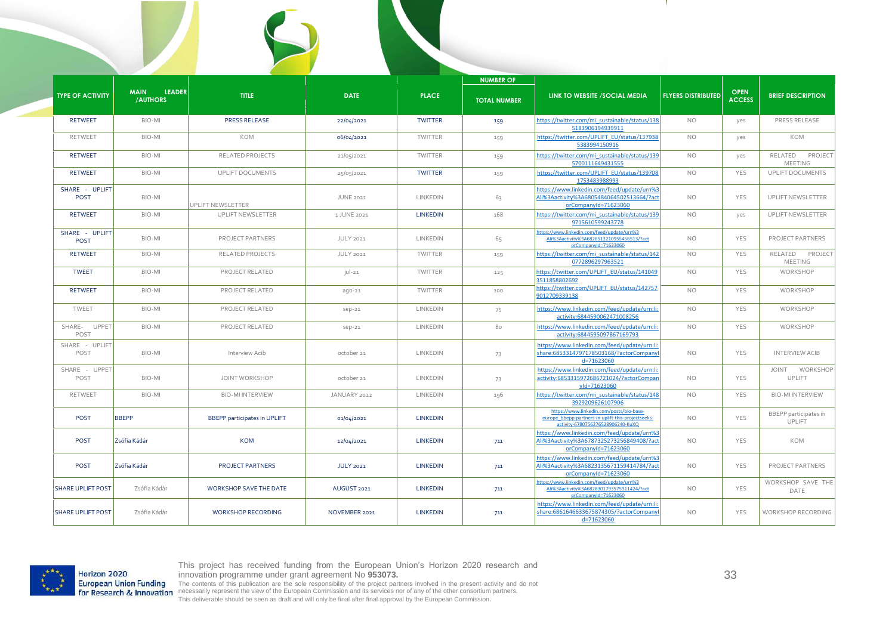|                                |                                                 |                                     |                  |                 | <b>NUMBER OF</b>    |                                                                                                                                     |                           |                              |                                        |
|--------------------------------|-------------------------------------------------|-------------------------------------|------------------|-----------------|---------------------|-------------------------------------------------------------------------------------------------------------------------------------|---------------------------|------------------------------|----------------------------------------|
| <b>TYPE OF ACTIVITY</b>        | <b>LEADER</b><br><b>MAIN</b><br><b>/AUTHORS</b> | <b>TITLE</b>                        | <b>DATE</b>      | <b>PLACE</b>    | <b>TOTAL NUMBER</b> | LINK TO WEBSITE / SOCIAL MEDIA                                                                                                      | <b>FLYERS DISTRIBUTED</b> | <b>OPEN</b><br><b>ACCESS</b> | <b>BRIEF DESCRIPTION</b>               |
| <b>RETWEET</b>                 | BIO-MI                                          | <b>PRESS RELEASE</b>                | 22/04/2021       | <b>TWITTER</b>  | 159                 | https://twitter.com/mi sustainable/status/138<br>5183906194939911                                                                   | <b>NO</b>                 | yes                          | PRESS RELEASE                          |
| <b>RETWEET</b>                 | BIO-MI                                          | KOM                                 | 06/04/2021       | TWITTER         | 159                 | https://twitter.com/UPLIFT EU/status/137938<br>5383994150916                                                                        | <b>NO</b>                 | yes                          | KOM                                    |
| <b>RETWEET</b>                 | BIO-MI                                          | <b>RELATED PROJECTS</b>             | 21/05/2021       | TWITTER         | 159                 | https://twitter.com/mi sustainable/status/139<br>5700111649431555                                                                   | <b>NO</b>                 | yes                          | PROJECT<br>RELATED<br><b>MEETING</b>   |
| <b>RETWEET</b>                 | BIO-MI                                          | UPLIFT DOCUMENTS                    | 25/05/2021       | <b>TWITTER</b>  | 159                 | https://twitter.com/UPLIFT EU/status/139708<br>1753483988993                                                                        | <b>NO</b>                 | YES                          | UPLIFT DOCUMENTS                       |
| SHARE - UPLIFT<br><b>POST</b>  | BIO-MI                                          | JPLIFT NEWSLETTER                   | <b>JUNE 2021</b> | LINKEDIN        | 63                  | https://www.linkedin.com/feed/update/urn%3<br>Ali%3Aactivity%3A6805484064502513664/?act<br>orCompanyId=71623060                     | <b>NO</b>                 | YES                          | UPLIFT NEWSLETTER                      |
| <b>RETWEET</b>                 | BIO-MI                                          | UPLIFT NEWSLETTER                   | 1 JUNE 2021      | <b>LINKEDIN</b> | 168                 | https://twitter.com/mi sustainable/status/139<br>9715610599243778                                                                   | <b>NO</b>                 | yes                          | <b>UPLIFT NEWSLETTER</b>               |
| SHARE - UPLIFT<br><b>POST</b>  | BIO-MI                                          | PROJECT PARTNERS                    | <b>JULY 2021</b> | LINKEDIN        | 65                  | https://www.linkedin.com/feed/update/urn%3<br>Ali%3Aactivity%3A6826513210955456513/?act<br>orCompanyId=71623060                     | <b>NO</b>                 | YES                          | PROJECT PARTNERS                       |
| <b>RETWEET</b>                 | BIO-MI                                          | <b>RELATED PROJECTS</b>             | <b>JULY 2021</b> | TWITTER         | 159                 | https://twitter.com/mi sustainable/status/142<br>0772896297963521                                                                   | <b>NO</b>                 | YES                          | PROJECT<br>RELATED<br><b>MEETING</b>   |
| <b>TWEET</b>                   | BIO-MI                                          | PROJECT RELATED                     | $ U -21$         | TWITTER         | 125                 | https://twitter.com/UPLIFT EU/status/141049<br>3511858802692                                                                        | <b>NO</b>                 | YES                          | WORKSHOP                               |
| <b>RETWEET</b>                 | BIO-MI                                          | PROJECT RELATED                     | ago-21           | TWITTER         | 100                 | nttps://twitter.com/UPLIFT_EU/status/142757<br>9012709339138                                                                        | <b>NO</b>                 | YES                          | WORKSHOP                               |
| TWEET                          | BIO-MI                                          | PROJECT RELATED                     | sep-21           | LINKEDIN        | 75                  | https://www.linkedin.com/feed/update/urn:li:<br>activity:6844590062471008256                                                        | <b>NO</b>                 | <b>YES</b>                   | WORKSHOP                               |
| <b>UPPET</b><br>SHARE-<br>POST | BIO-MI                                          | PROJECT RELATED                     | $sep-21$         | LINKEDIN        | 80                  | https://www.linkedin.com/feed/update/urn:li:<br>activity:6844595097867169793                                                        | <b>NO</b>                 | YES                          | WORKSHOP                               |
| SHARE - UPLIFT<br>POST         | BIO-MI                                          | Interview Acib                      | october 21       | LINKEDIN        | 73                  | https://www.linkedin.com/feed/update/urn:li:<br>share:6853314797178503168/?actorCompanyl<br>d=71623060                              | <b>NO</b>                 | YES                          | <b>INTERVIEW ACIB</b>                  |
| SHARE - UPPET<br>POST          | BIO-MI                                          | <b>JOINT WORKSHOP</b>               | october 21       | LINKEDIN        | 73                  | https://www.linkedin.com/feed/update/urn:li:<br>activity:6853315972686721024/?actorCompan<br>vld=71623060                           | <b>NO</b>                 | YES                          | <b>TINIOL</b><br>WORKSHOP<br>UPLIFT    |
| <b>RETWEET</b>                 | BIO-MI                                          | <b>BIO-MI INTERVIEW</b>             | JANUARY 2022     | LINKEDIN        | 196                 | https://twitter.com/mi sustainable/status/148<br>3929209626107906                                                                   | <b>NO</b>                 | YES                          | <b>BIO-MI INTERVIEW</b>                |
| <b>POST</b>                    | <b>BBEPP</b>                                    | <b>BBEPP</b> participates in UPLIFT | 01/04/2021       | <b>LINKEDIN</b> |                     | https://www.linkedin.com/posts/bio-base-<br>europe_bbepp-partners-in-uplift-this-projectseeks-<br>activity-6780756276528906240-KuXQ | <b>NO</b>                 | YES                          | <b>BBEPP</b> participates in<br>UPLIFT |
| <b>POST</b>                    | Zsófia Kádár                                    | <b>KOM</b>                          | 12/04/2021       | <b>LINKEDIN</b> | 711                 | https://www.linkedin.com/feed/update/urn%3<br>Ali%3Aactivity%3A6787325273256849408/?act<br>orCompanyId=71623060                     | <b>NO</b>                 | YES                          | <b>KOM</b>                             |
| <b>POST</b>                    | Zsófia Kádár                                    | <b>PROJECT PARTNERS</b>             | <b>JULY 2021</b> | <b>LINKEDIN</b> | 711                 | https://www.linkedin.com/feed/update/urn%3<br>Ali%3Aactivity%3A6823135671159414784/?act<br>orCompanyId=71623060                     | <b>NO</b>                 | <b>YES</b>                   | PROJECT PARTNERS                       |
| <b>SHARE UPLIFT POST</b>       | Zsófia Kádár                                    | <b>WORKSHOP SAVE THE DATE</b>       | AUGUST 2021      | <b>LINKEDIN</b> | 711                 | https://www.linkedin.com/feed/update/urn%3<br>Ali%3Aactivity%3A6828301793575911424/?act<br>orCompanyId=71623060                     | <b>NO</b>                 | YES                          | WORKSHOP SAVE THE<br>DATE              |
| <b>SHARE UPLIFT POST</b>       | Zsófia Kádár                                    | <b>WORKSHOP RECORDING</b>           | NOVEMBER 2021    | <b>LINKEDIN</b> | 711                 | https://www.linkedin.com/feed/update/urn:li<br>share:6861646633675874305/?actorCompanyl<br>d=71623060                               | NO.                       | <b>YES</b>                   | <b>WORKSHOP RECORDING</b>              |

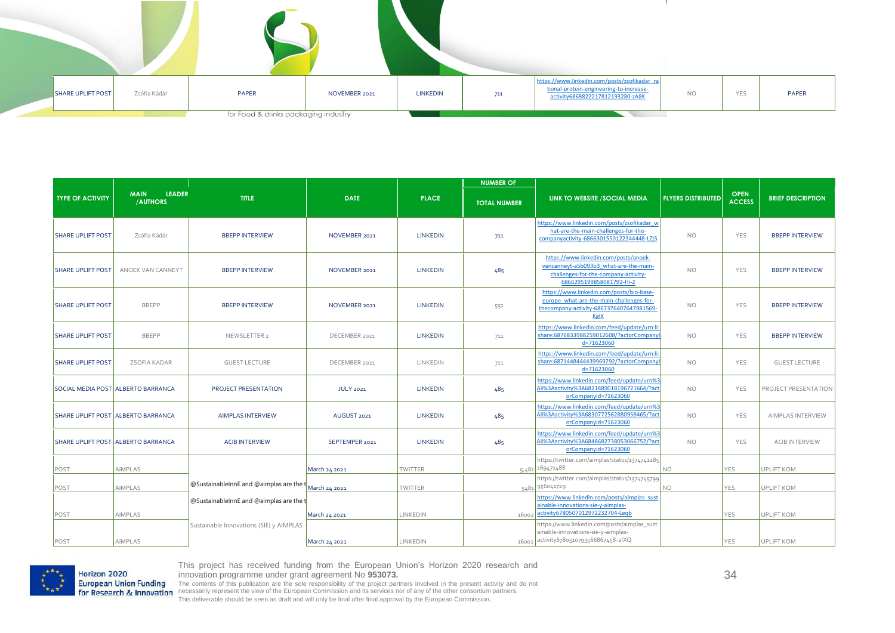| SHARE UPLIFT POST | Zsófia Kádár | PAPER                                | NOVEMBER 2021 | LINKEDIN | 711 | https://www.linkedin.com/posts/zsofikadar_ra<br>tional-protein-engineering-to-increase-<br>activity6868822217812193280-zA8K | <b>NO</b> | YES | <b>PAPER</b> |
|-------------------|--------------|--------------------------------------|---------------|----------|-----|-----------------------------------------------------------------------------------------------------------------------------|-----------|-----|--------------|
|                   |              | for Food & drinks packaging indusTry |               |          |     |                                                                                                                             |           |     |              |

|                          |                                           |                                                                                                  |                  |                 | <b>NUMBER OF</b>    |                                                                                                                                                     |                           |                              |                          |
|--------------------------|-------------------------------------------|--------------------------------------------------------------------------------------------------|------------------|-----------------|---------------------|-----------------------------------------------------------------------------------------------------------------------------------------------------|---------------------------|------------------------------|--------------------------|
| <b>TYPE OF ACTIVITY</b>  | LEADER<br><b>MAIN</b><br>/AUTHORS         | <b>TITLE</b>                                                                                     | <b>DATE</b>      | <b>PLACE</b>    | <b>TOTAL NUMBER</b> | LINK TO WEBSITE /SOCIAL MEDIA                                                                                                                       | <b>FLYERS DISTRIBUTED</b> | <b>OPEN</b><br><b>ACCESS</b> | <b>BRIEF DESCRIPTION</b> |
| <b>SHARE UPLIFT POST</b> | Zsófia Kádár                              | <b>BBEPP INTERVIEW</b>                                                                           | NOVEMBER 2021    | <b>LINKEDIN</b> | 711                 | https://www.linkedin.com/posts/zsofikadar w<br>hat-are-the-main-challenges-for-the-<br>companyactivity-6866301550122344448-LZj5                     | NO.                       | YES                          | <b>BBEPP INTERVIEW</b>   |
| <b>SHARE UPLIFT POST</b> | ANOEK VAN CANNEYT                         | <b>BBEPP INTERVIEW</b>                                                                           | NOVEMBER 2021    | <b>LINKEDIN</b> | 485                 | https://www.linkedin.com/posts/anoek-<br>vancanneyt-a5b093b3 what-are-the-main-<br>challenges-for-the-company-activity-<br>6866295199858081792-Hi-2 | NO.                       | YES                          | <b>BBEPP INTERVIEW</b>   |
| <b>SHARE UPLIFT POST</b> | <b>BBEPP</b>                              | <b>BBEPP INTERVIEW</b>                                                                           | NOVEMBER 2021    | <b>LINKEDIN</b> | 551                 | https://www.linkedin.com/posts/bio-base-<br>europe what-are-the-main-challenges-for-<br>thecompany-activity-6867376407647981569<br>KgIX             | NO.                       | <b>YES</b>                   | <b>BBEPP INTERVIEW</b>   |
| <b>SHARE UPLIFT POST</b> | <b>BBEPP</b>                              | NEWSLETTER 2                                                                                     | DECEMBER 2021    | <b>LINKEDIN</b> | 711                 | https://www.linkedin.com/feed/update/urn:li:<br>share:6876833988259012608/?actorCompanyl<br>d=71623060                                              | NO.                       | YES                          | <b>BBEPP INTERVIEW</b>   |
| <b>SHARE UPLIFT POST</b> | ZSOFIA KADAR                              | <b>GUEST LECTURE</b>                                                                             | DECEMBER 2021    | LINKEDIN        | 711                 | https://www.linkedin.com/feed/update/urn:li:<br>share:6871448444439969792/?actorCompanyl<br>d=71623060                                              | NO.                       | YES                          | <b>GUEST LECTURE</b>     |
|                          | SOCIAL MEDIA POST ALBERTO BARRANCA        | PROJECT PRESENTATION                                                                             | <b>JULY 2021</b> | <b>LINKEDIN</b> | 485                 | https://www.linkedin.com/feed/update/urn%3<br>Ali%3Aactivity%3A6821889018196721664/?act<br>orCompanyId=71623060                                     | NO.                       | YES                          | PROJECT PRESENTATION     |
|                          | SHARE UPLIFT POST ALBERTO BARRANCA        | <b>AIMPLAS INTERVIEW</b>                                                                         | AUGUST 2021      | <b>LINKEDIN</b> | 485                 | https://www.linkedin.com/feed/update/urn%3<br>Ali%3Aactivity%3A6830772562880958465/?act<br>orCompanyId=71623060                                     | NO.                       | YES                          | AIMPLAS INTERVIEW        |
|                          | <b>SHARE UPLIFT POST ALBERTO BARRANCA</b> | <b>ACIB INTERVIEW</b>                                                                            | SEPTEMPER 2021   | <b>LINKEDIN</b> | 485                 | https://www.linkedin.com/feed/update/urn%3<br>Ali%3Aactivity%3A6848682738053066752/?act<br>orCompanyId=71623060                                     | NO.                       | <b>YES</b>                   | <b>ACIB INTERVIEW</b>    |
| POST                     | AIMPLAS                                   |                                                                                                  | March 24 2021    | <b>TWITTER</b>  |                     | https://twitter.com/aimplas/status/1374741285<br>$5,481$ 169471488                                                                                  | NO                        | YES                          | <b>UPLIFT KOM</b>        |
| POST                     | AIMPLAS                                   | $\sqrt{\omega}$ Sustainable Inn E and $\omega$ aimplas are the $\sqrt{\frac{1}{M}$ March 24 2021 |                  | <b>TWITTER</b>  |                     | https://twitter.com/aimplas/status/1374745799<br>5481 956041729                                                                                     | NO                        | YES                          | UPLIFT KOM               |
| POST                     | AIMPLAS                                   | <b>@SustainableInnE</b> and @aimplas are the t                                                   | March 24 2021    | LINKEDIN        | 16002               | https://www.linkedin.com/posts/aimplas_sust<br>ainable-innovations-sie-y-aimplas-<br>activity6780507012972232704-Leqb                               |                           | YES                          | UPLIFT KOM               |
| POST                     | AIMPLAS                                   | Sustainable Innovations (SIE) y AIMPLAS                                                          | March 24 2021    | LINKEDIN        |                     | https://www.linkedin.com/posts/aimplas_sust<br>ainable-innovations-sie-y-aimplas-<br>16002 activity6780510793566867458-2IXQ                         |                           | <b>YES</b>                   | <b>UPLIFT KOM</b>        |

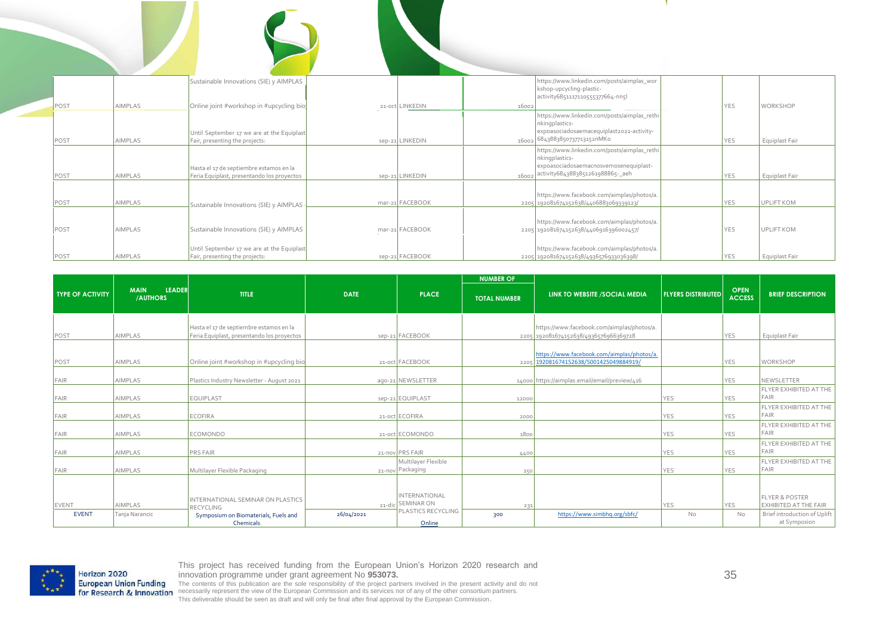|      |                | Sustainable Innovations (SIE) y AIMPLAS                                               |                 | https://www.linkedin.com/posts/aimplas_wor<br>kshop-upcycling-plastic-<br>activity6851117110555377664-nn5l                                            |            | <b>WORKSHOP</b>   |
|------|----------------|---------------------------------------------------------------------------------------|-----------------|-------------------------------------------------------------------------------------------------------------------------------------------------------|------------|-------------------|
| POST | <b>AIMPLAS</b> | Online joint #workshop in #upcycling bio                                              | 21-oct LINKEDIN | 16002                                                                                                                                                 | YES        |                   |
| POST | AIMPLAS        | Until September 17 we are at the Equiplast<br>Fair, presenting the projects:          | sep-21 LINKEDIN | https://www.linkedin.com/posts/aimplas_rethi<br>nkingplastics-<br>expoasociadosaemacequiplast2021-activity-<br>16002 6843883850737713152nMKo          | YES        | Equiplast Fair    |
| POST | AIMPLAS        | Hasta el 17 de septiembre estamos en la<br>Feria Equiplast, presentando los proyectos | sep-21 LINKEDIN | https://www.linkedin.com/posts/aimplas_rethi<br>nkingplastics-<br>expoasociadosaemacnosvemosenequiplast-<br>activity6843883851261988865-_aeh<br>16002 | YES        | Equiplast Fair    |
| POST | AIMPLAS        | Sustainable Innovations (SIE) y AIMPLAS                                               | mar-21 FACEBOOK | https://www.facebook.com/aimplas/photos/a.<br>2205 192081674152638/4406883069339123/                                                                  | YES        | <b>UPLIFT KOM</b> |
| POST | <b>AIMPLAS</b> | Sustainable Innovations (SIE) y AIMPLAS                                               | mar-21 FACEBOOK | https://www.facebook.com/aimplas/photos/a.<br>2205 192081674152638/4406916396002457/                                                                  | YES        | <b>UPLIFT KOM</b> |
| POST | <b>AIMPLAS</b> | Until September 17 we are at the Equiplast<br>Fair, presenting the projects:          | sep-21 FACEBOOK | https://www.facebook.com/aimplas/photos/a.<br>2205 192081674152638/4936576933036398/                                                                  | <b>YES</b> | Equiplast Fair    |

|                         |                                          |                                                                                       |             |                                                                 | <b>NUMBER OF</b>    |                                                                                      |                           |                              |                                                                                    |
|-------------------------|------------------------------------------|---------------------------------------------------------------------------------------|-------------|-----------------------------------------------------------------|---------------------|--------------------------------------------------------------------------------------|---------------------------|------------------------------|------------------------------------------------------------------------------------|
| <b>TYPE OF ACTIVITY</b> | <b>LEADER</b><br><b>MAIN</b><br>/AUTHORS | <b>TITLE</b>                                                                          | <b>DATE</b> | <b>PLACE</b>                                                    | <b>TOTAL NUMBER</b> | LINK TO WEBSITE / SOCIAL MEDIA                                                       | <b>FLYERS DISTRIBUTED</b> | <b>OPEN</b><br><b>ACCESS</b> | <b>BRIEF DESCRIPTION</b>                                                           |
| POST                    | <b>AIMPLAS</b>                           | Hasta el 17 de septiembre estamos en la<br>Feria Equiplast, presentando los proyectos |             | sep-21 FACEBOOK                                                 |                     | https://www.facebook.com/aimplas/photos/a.<br>2205 192081674152638/4936576966369728  |                           | YES                          | Equiplast Fair                                                                     |
| POST                    | AIMPLAS                                  | Online joint #workshop in #upcycling bio                                              |             | 21-oct FACEBOOK                                                 |                     | https://www.facebook.com/aimplas/photos/a.<br>2205 192081674152638/5001425049884919/ |                           | YES                          | <b>WORKSHOP</b>                                                                    |
| FAIR                    | <b>AIMPLAS</b>                           | Plastics Industry Newsletter - August 2021                                            |             | ago-21 NEWSLETTER                                               |                     | 14000 https://aimplas.email/email/preview/416                                        |                           | YES                          | NEWSLETTER                                                                         |
| FAIR                    | <b>AIMPLAS</b>                           | <b>EQUIPLAST</b>                                                                      |             | sep-21 EQUIPLAST                                                | 12000               |                                                                                      | <b>YES</b>                | YES                          | FLYER EXHIBITED AT THE<br>FAIR                                                     |
| FAIR                    | <b>AIMPLAS</b>                           | <b>ECOFIRA</b>                                                                        |             | 21-oct ECOFIRA                                                  | 2000                |                                                                                      | <b>YES</b>                | <b>YES</b>                   | <b>FLYER EXHIBITED AT THE</b><br>FAIR                                              |
| FAIR                    | AIMPLAS                                  | <b>ECOMONDO</b>                                                                       |             | 21-oct ECOMONDO                                                 | 1800                |                                                                                      | <b>YES</b>                | <b>YES</b>                   | FLYER EXHIBITED AT THE<br>FAIR                                                     |
| FAIR                    | <b>AIMPLAS</b>                           | <b>PRS FAIR</b>                                                                       |             | 21-nov PRS FAIR                                                 | 4400                |                                                                                      | YES                       | YES                          | FLYER EXHIBITED AT THE<br>FAIR                                                     |
| FAIR                    | AIMPLAS                                  | Multilayer Flexible Packaging                                                         |             | Multilayer Flexible<br>21-nov Packaging                         | 150                 |                                                                                      | <b>YES</b>                | <b>YES</b>                   | FLYER EXHIBITED AT THE<br><b>FAIR</b>                                              |
| EVENT<br><b>EVENT</b>   | <b>AIMPLAS</b><br>Tanja Narancic         | INTERNATIONAL SEMINAR ON PLASTICS<br><b>RECYCLING</b>                                 | 26/04/2021  | <b>INTERNATIONAL</b><br>21-dic SEMINAR ON<br>PLASTICS RECYCLING | 231<br>300          | https://www.simbhq.org/sbfc/                                                         | <b>YES</b><br>No          | <b>YES</b><br>No             | <b>FLYER &amp; POSTER</b><br>EXHIBITED AT THE FAIR<br>Brief introduction of Uplift |
|                         |                                          | Symposium on Biomaterials, Fuels and<br>Chemicals                                     |             | Online                                                          |                     |                                                                                      |                           |                              | at Symposion                                                                       |

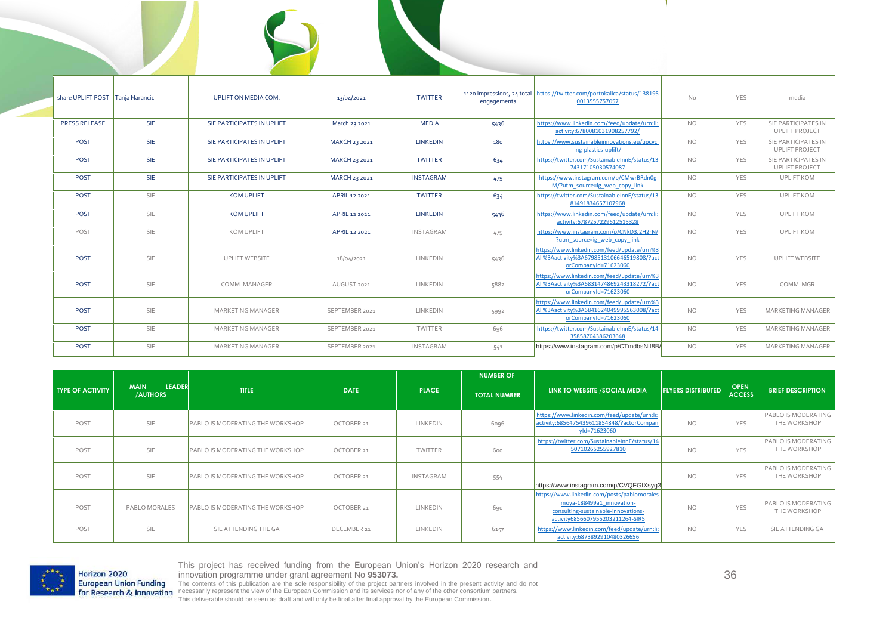| share UPLIFT POST   Tanja Narancic |            | <b>UPLIFT ON MEDIA COM.</b> | 13/04/2021     | <b>TWITTER</b>   | 1120 impressions, 24 total<br>engagements | https://twitter.com/portokalica/status/138195<br>0013555757057                                                  | <b>No</b> | YES        | media                                        |
|------------------------------------|------------|-----------------------------|----------------|------------------|-------------------------------------------|-----------------------------------------------------------------------------------------------------------------|-----------|------------|----------------------------------------------|
| PRESS RELEASE                      | <b>SIE</b> | SIE PARTICIPATES IN UPLIFT  | March 23 2021  | <b>MEDIA</b>     | 5436                                      | https://www.linkedin.com/feed/update/urn:li:<br>activity:6780081031908257792/                                   | NO.       | <b>YES</b> | SIE PARTICIPATES IN<br><b>UPLIFT PROJECT</b> |
| POST                               | <b>SIE</b> | SIE PARTICIPATES IN UPLIFT  | MARCH 23 2021  | <b>LINKEDIN</b>  | 180                                       | https://www.sustainableinnovations.eu/upcycl<br>ing-plastics-uplift/                                            | <b>NO</b> | YES        | SIE PARTICIPATES IN<br>UPLIFT PROJECT        |
| POST                               | <b>SIE</b> | SIE PARTICIPATES IN UPLIFT  | MARCH 23 2021  | <b>TWITTER</b>   | 634                                       | https://twitter.com/SustainableInnE/status/13<br>74317105030574087                                              | <b>NO</b> | <b>YES</b> | SIE PARTICIPATES IN<br><b>UPLIFT PROJECT</b> |
| POST                               | <b>SIE</b> | SIE PARTICIPATES IN UPLIFT  | MARCH 23 2021  | <b>INSTAGRAM</b> | 479                                       | https://www.instagram.com/p/CMwrBRdn0g<br>M/?utm_source=ig_web_copy_link                                        | <b>NO</b> | <b>YES</b> | <b>UPLIFT KOM</b>                            |
| POST                               | SIE        | <b>KOM UPLIFT</b>           | APRIL 12 2021  | <b>TWITTER</b>   | 634                                       | https://twitter.com/SustainableInnE/status/13<br>81491834657107968                                              | <b>NO</b> | <b>YES</b> | <b>UPLIFT KOM</b>                            |
| POST                               | SIE        | <b>KOM UPLIFT</b>           | APRIL 12 2021  | <b>LINKEDIN</b>  | 5436                                      | https://www.linkedin.com/feed/update/urn:li:<br>activity:6787257229612515328                                    | <b>NO</b> | YES        | <b>UPLIFT KOM</b>                            |
| POST                               | SIE        | <b>KOM UPLIFT</b>           | APRIL 12 2021  | <b>INSTAGRAM</b> | 479                                       | https://www.instagram.com/p/CNkD3J2H2rN/<br>?utm source=ig web copy link                                        | <b>NO</b> | <b>YES</b> | <b>UPLIFT KOM</b>                            |
| POST                               | SIE        | <b>UPLIFT WEBSITE</b>       | 18/04/2021     | LINKEDIN         | 5436                                      | https://www.linkedin.com/feed/update/urn%3<br>Ali%3Aactivity%3A6798513106646519808/?act<br>orCompanyId=71623060 | <b>NO</b> | YES        | <b>UPLIFT WEBSITE</b>                        |
| <b>POST</b>                        | SIE        | COMM. MANAGER               | AUGUST 2021    | LINKEDIN         | 5882                                      | https://www.linkedin.com/feed/update/urn%3<br>Ali%3Aactivity%3A6831474869243318272/?act<br>orCompanyId=71623060 | <b>NO</b> | YES        | COMM, MGR                                    |
| POST                               | SIE        | <b>MARKETING MANAGER</b>    | SEPTEMBER 2021 | LINKEDIN         | 5992                                      | https://www.linkedin.com/feed/update/urn%3<br>Ali%3Aactivity%3A6841624049995563008/?act<br>orCompanyId=71623060 | <b>NO</b> | YES        | <b>MARKETING MANAGER</b>                     |
| POST                               | SIE        | <b>MARKETING MANAGER</b>    | SEPTEMBER 2021 | TWITTER          | 696                                       | https://twitter.com/SustainableInnE/status/14<br>35858704386203648                                              | <b>NO</b> | YES        | MARKETING MANAGER                            |
| POST                               | SIE        | <b>MARKETING MANAGER</b>    | SEPTEMBER 2021 | INSTAGRAM        | 541                                       | https://www.instagram.com/p/CTmdbsNlf8B/                                                                        | <b>NO</b> | YES        | <b>MARKETING MANAGER</b>                     |

|                         |                                                 |                                         |             |                  | <b>NUMBER OF</b>    |                                                                                                                                                      |                           |                              |                                            |
|-------------------------|-------------------------------------------------|-----------------------------------------|-------------|------------------|---------------------|------------------------------------------------------------------------------------------------------------------------------------------------------|---------------------------|------------------------------|--------------------------------------------|
| <b>TYPE OF ACTIVITY</b> | <b>LEADER</b><br><b>MAIN</b><br><b>/AUTHORS</b> | <b>TITLE</b>                            | <b>DATE</b> | <b>PLACE</b>     | <b>TOTAL NUMBER</b> | LINK TO WEBSITE /SOCIAL MEDIA                                                                                                                        | <b>FLYERS DISTRIBUTED</b> | <b>OPEN</b><br><b>ACCESS</b> | <b>BRIEF DESCRIPTION</b>                   |
| POST                    | <b>SIE</b>                                      | <b>PABLO IS MODERATING THE WORKSHOP</b> | OCTOBER 21  | LINKEDIN         | 6096                | https://www.linkedin.com/feed/update/urn:li:<br>activity:6856475439611854848/?actorCompan<br>yld=71623060                                            | <b>NO</b>                 | <b>YES</b>                   | PABLO IS MODERATING<br>THE WORKSHOP        |
| POST                    | <b>SIE</b>                                      | <b>PABLO IS MODERATING THE WORKSHOP</b> | OCTOBER 21  | TWITTER          | 600                 | https://twitter.com/SustainableInnE/status/14<br>50710265255927810                                                                                   | <b>NO</b>                 | <b>YES</b>                   | PABLO IS MODERATING<br>THE WORKSHOP        |
| POST                    | <b>SIE</b>                                      | <b>PABLO IS MODERATING THE WORKSHOP</b> | OCTOBER 21  | <b>INSTAGRAM</b> | 554                 | https://www.instagram.com/p/CVQFGfXsyg3                                                                                                              | NO.                       | YES                          | PABLO IS MODERATING<br>THE WORKSHOP        |
| POST                    | PABLO MORALES                                   | <b>PABLO IS MODERATING THE WORKSHOP</b> | OCTOBER 21  | LINKEDIN         | 690                 | https://www.linkedin.com/posts/pablomorales-<br>moya-188499a1 innovation-<br>consulting-sustainable-innovations-<br>activity6856607955203211264-SIR5 | <b>NO</b>                 | <b>YES</b>                   | <b>PABLO IS MODERATING</b><br>THE WORKSHOP |
| POST                    | <b>SIE</b>                                      | SIE ATTENDING THE GA                    | DECEMBER 21 | LINKEDIN         | 6157                | https://www.linkedin.com/feed/update/urn:li:<br>activity:6873892910480326656                                                                         | <b>NO</b>                 | <b>YES</b>                   | SIE ATTENDING GA                           |



36